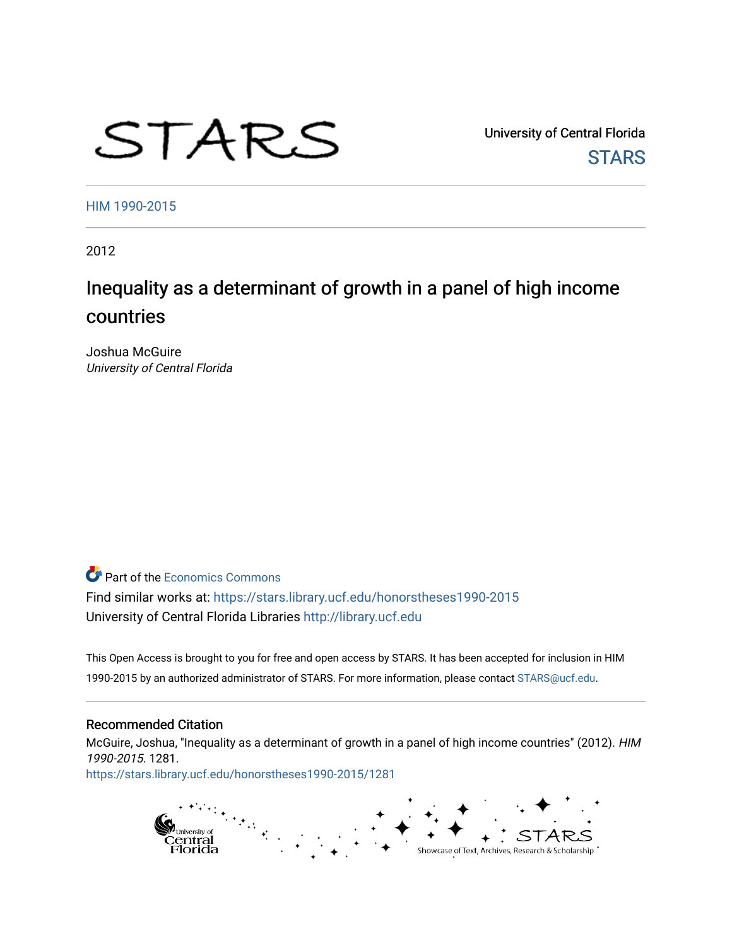# STARS

University of Central Florida **STARS** 

[HIM 1990-2015](https://stars.library.ucf.edu/honorstheses1990-2015) 

2012

## Inequality as a determinant of growth in a panel of high income countries

Joshua McGuire University of Central Florida

**C** Part of the [Economics Commons](http://network.bepress.com/hgg/discipline/340?utm_source=stars.library.ucf.edu%2Fhonorstheses1990-2015%2F1281&utm_medium=PDF&utm_campaign=PDFCoverPages)

Find similar works at: <https://stars.library.ucf.edu/honorstheses1990-2015> University of Central Florida Libraries [http://library.ucf.edu](http://library.ucf.edu/) 

This Open Access is brought to you for free and open access by STARS. It has been accepted for inclusion in HIM 1990-2015 by an authorized administrator of STARS. For more information, please contact [STARS@ucf.edu](mailto:STARS@ucf.edu).

#### Recommended Citation

McGuire, Joshua, "Inequality as a determinant of growth in a panel of high income countries" (2012). HIM 1990-2015. 1281.

[https://stars.library.ucf.edu/honorstheses1990-2015/1281](https://stars.library.ucf.edu/honorstheses1990-2015/1281?utm_source=stars.library.ucf.edu%2Fhonorstheses1990-2015%2F1281&utm_medium=PDF&utm_campaign=PDFCoverPages) 

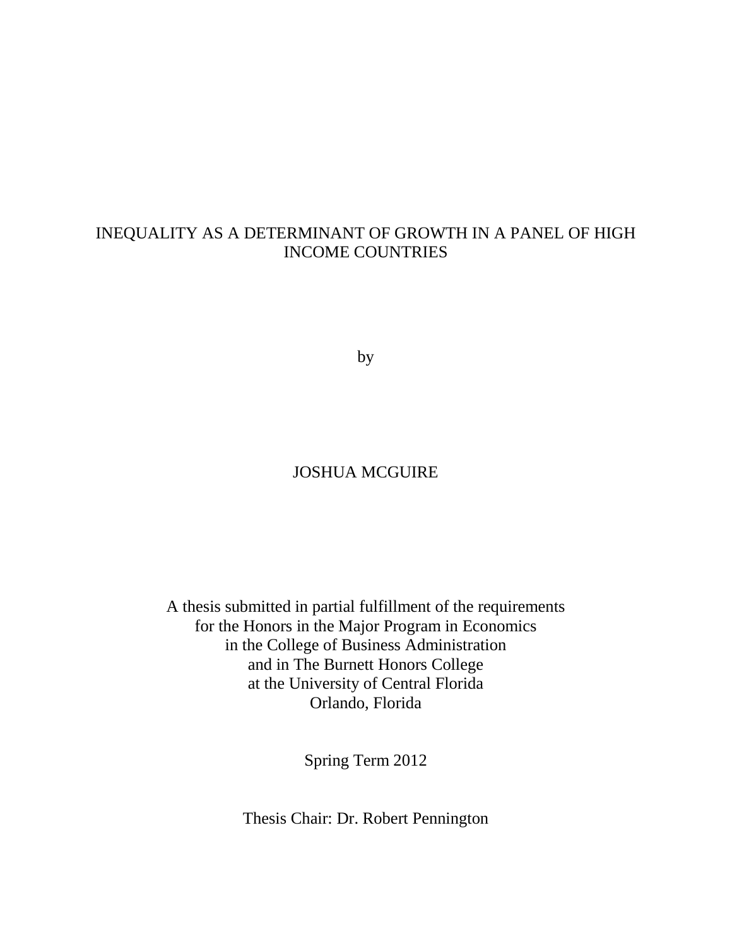### INEQUALITY AS A DETERMINANT OF GROWTH IN A PANEL OF HIGH INCOME COUNTRIES

by

#### JOSHUA MCGUIRE

A thesis submitted in partial fulfillment of the requirements for the Honors in the Major Program in Economics in the College of Business Administration and in The Burnett Honors College at the University of Central Florida Orlando, Florida

Spring Term 2012

Thesis Chair: Dr. Robert Pennington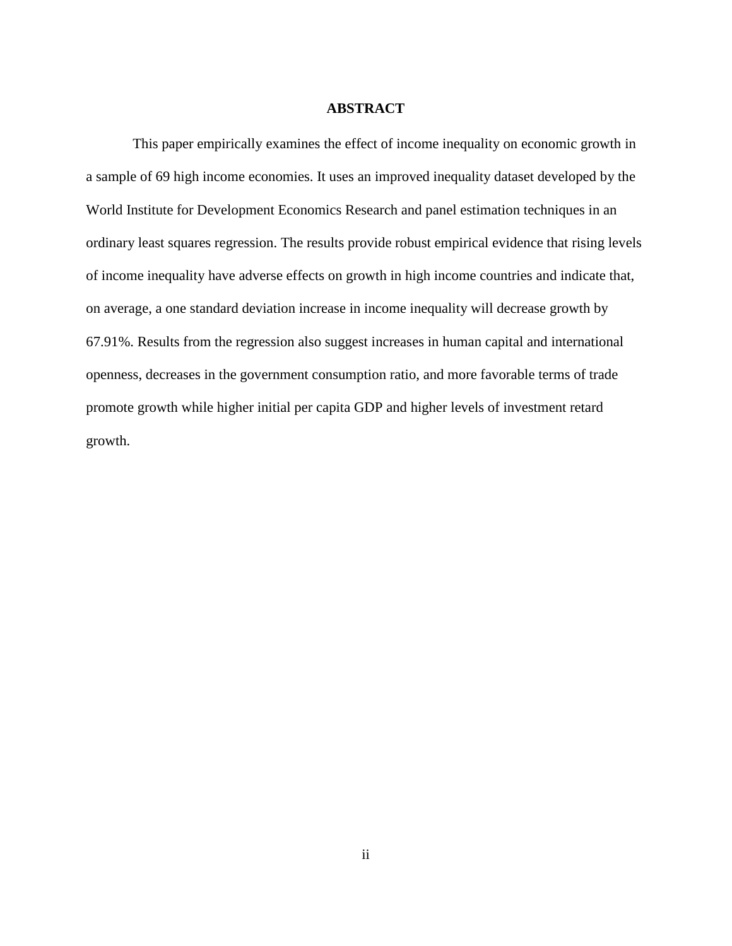#### **ABSTRACT**

This paper empirically examines the effect of income inequality on economic growth in a sample of 69 high income economies. It uses an improved inequality dataset developed by the World Institute for Development Economics Research and panel estimation techniques in an ordinary least squares regression. The results provide robust empirical evidence that rising levels of income inequality have adverse effects on growth in high income countries and indicate that, on average, a one standard deviation increase in income inequality will decrease growth by 67.91%. Results from the regression also suggest increases in human capital and international openness, decreases in the government consumption ratio, and more favorable terms of trade promote growth while higher initial per capita GDP and higher levels of investment retard growth.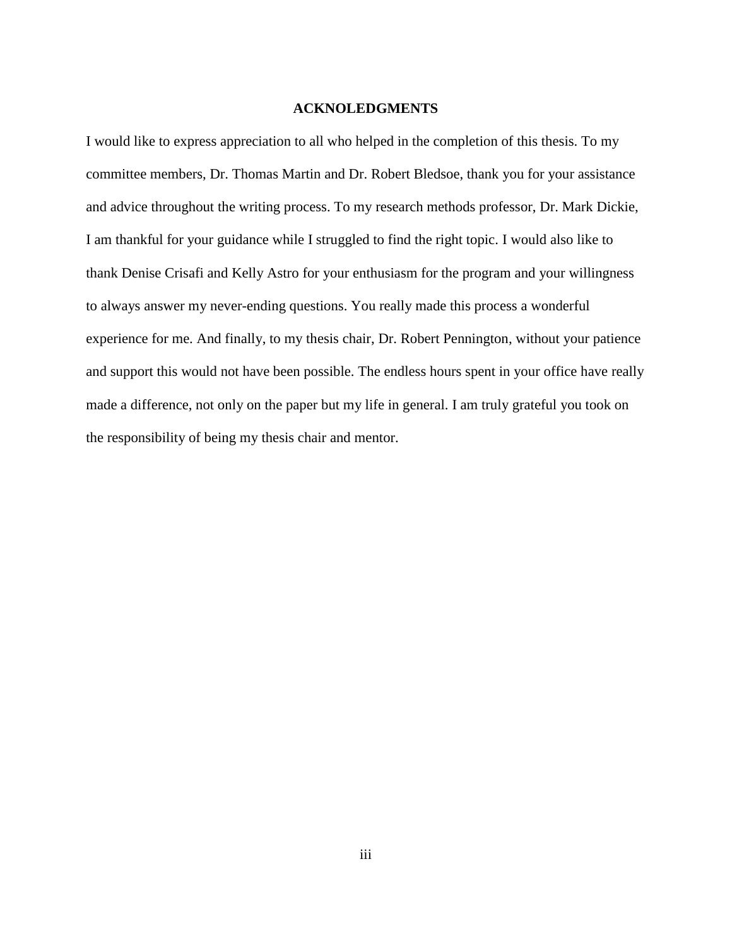#### **ACKNOLEDGMENTS**

I would like to express appreciation to all who helped in the completion of this thesis. To my committee members, Dr. Thomas Martin and Dr. Robert Bledsoe, thank you for your assistance and advice throughout the writing process. To my research methods professor, Dr. Mark Dickie, I am thankful for your guidance while I struggled to find the right topic. I would also like to thank Denise Crisafi and Kelly Astro for your enthusiasm for the program and your willingness to always answer my never-ending questions. You really made this process a wonderful experience for me. And finally, to my thesis chair, Dr. Robert Pennington, without your patience and support this would not have been possible. The endless hours spent in your office have really made a difference, not only on the paper but my life in general. I am truly grateful you took on the responsibility of being my thesis chair and mentor.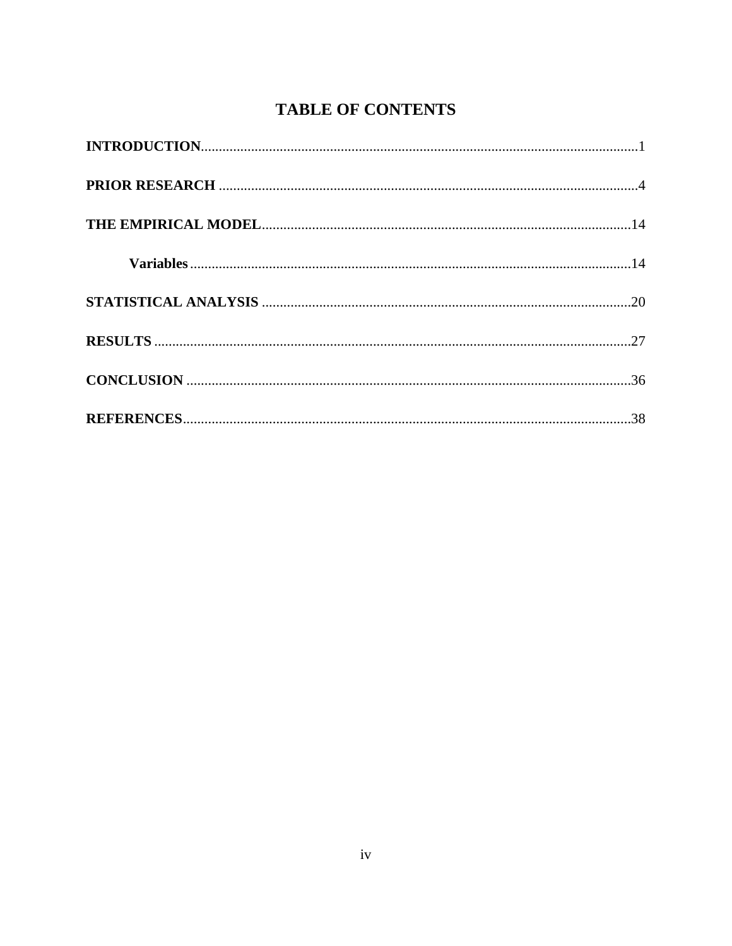## **TABLE OF CONTENTS**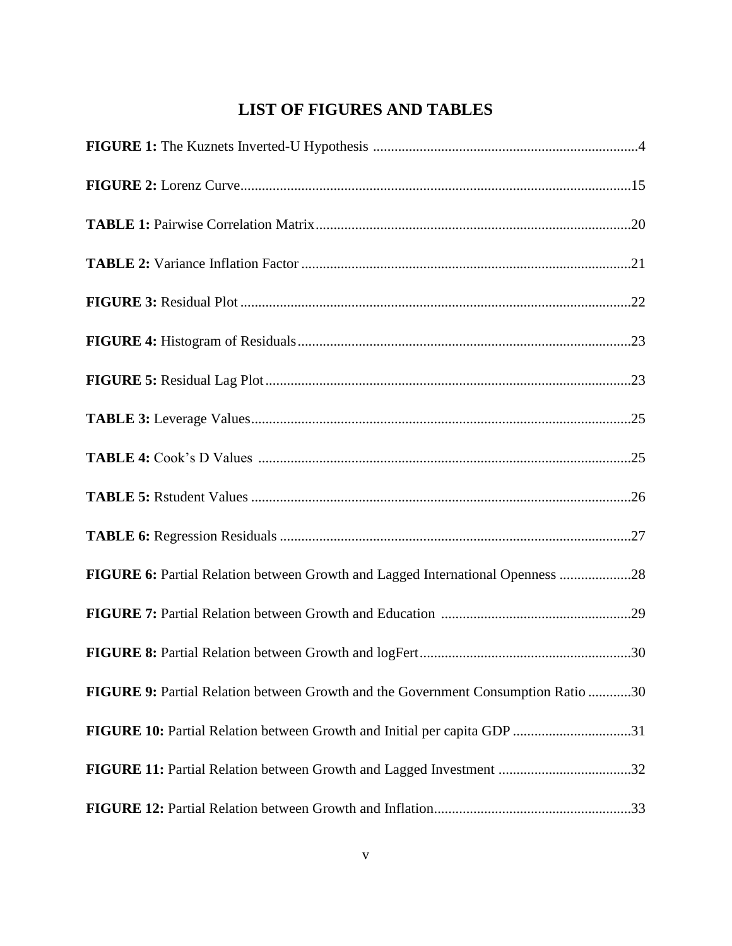## **LIST OF FIGURES AND TABLES**

| FIGURE 6: Partial Relation between Growth and Lagged International Openness 28    |  |
|-----------------------------------------------------------------------------------|--|
|                                                                                   |  |
|                                                                                   |  |
| FIGURE 9: Partial Relation between Growth and the Government Consumption Ratio 30 |  |
| FIGURE 10: Partial Relation between Growth and Initial per capita GDP 31          |  |
| FIGURE 11: Partial Relation between Growth and Lagged Investment 32               |  |
|                                                                                   |  |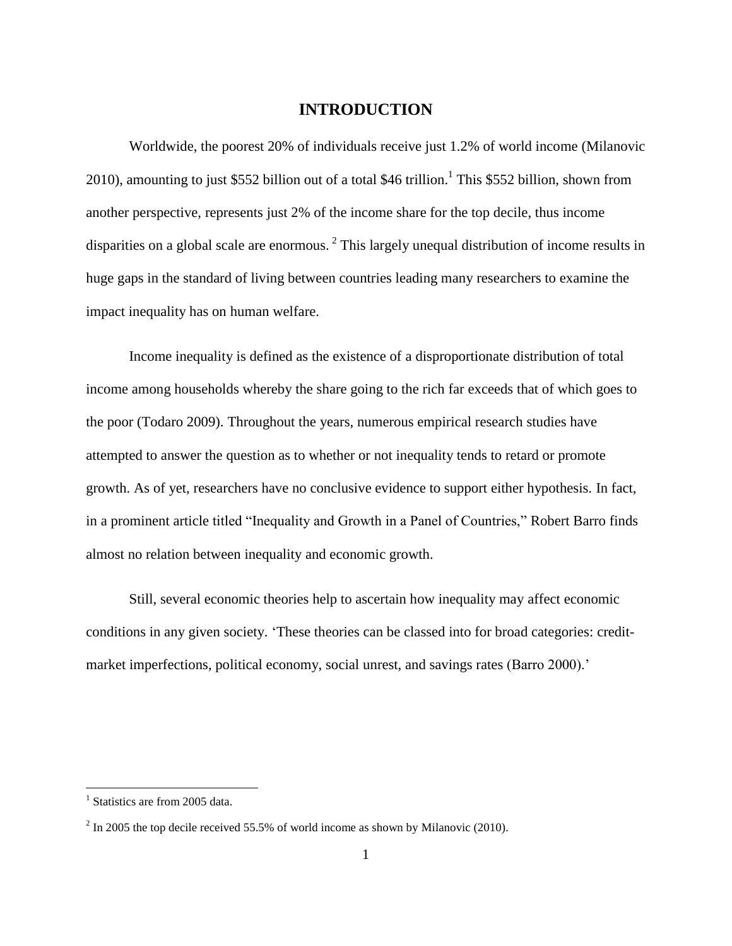#### **INTRODUCTION**

Worldwide, the poorest 20% of individuals receive just 1.2% of world income (Milanovic 2010), amounting to just \$552 billion out of a total \$46 trillion.<sup>1</sup> This \$552 billion, shown from another perspective, represents just 2% of the income share for the top decile, thus income disparities on a global scale are enormous.<sup>2</sup> This largely unequal distribution of income results in huge gaps in the standard of living between countries leading many researchers to examine the impact inequality has on human welfare.

Income inequality is defined as the existence of a disproportionate distribution of total income among households whereby the share going to the rich far exceeds that of which goes to the poor (Todaro 2009). Throughout the years, numerous empirical research studies have attempted to answer the question as to whether or not inequality tends to retard or promote growth. As of yet, researchers have no conclusive evidence to support either hypothesis. In fact, in a prominent article titled "Inequality and Growth in a Panel of Countries," Robert Barro finds almost no relation between inequality and economic growth.

Still, several economic theories help to ascertain how inequality may affect economic conditions in any given society. 'These theories can be classed into for broad categories: creditmarket imperfections, political economy, social unrest, and savings rates (Barro 2000).'

<sup>&</sup>lt;sup>1</sup> Statistics are from 2005 data.

 $2 \text{ In } 2005$  the top decile received 55.5% of world income as shown by Milanovic (2010).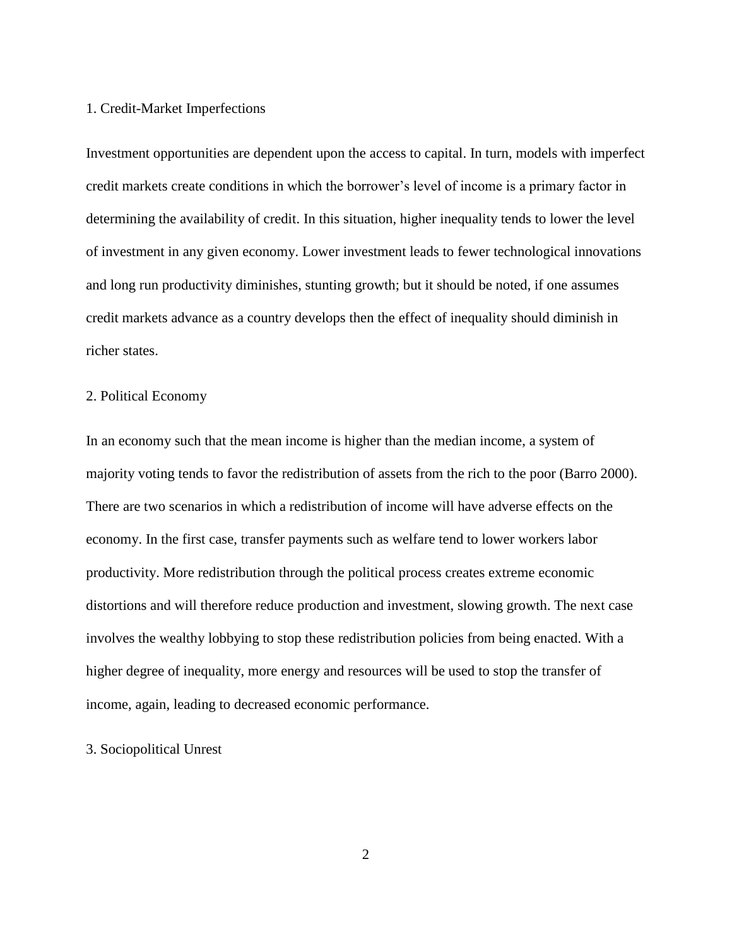#### 1. Credit-Market Imperfections

Investment opportunities are dependent upon the access to capital. In turn, models with imperfect credit markets create conditions in which the borrower's level of income is a primary factor in determining the availability of credit. In this situation, higher inequality tends to lower the level of investment in any given economy. Lower investment leads to fewer technological innovations and long run productivity diminishes, stunting growth; but it should be noted, if one assumes credit markets advance as a country develops then the effect of inequality should diminish in richer states.

#### 2. Political Economy

In an economy such that the mean income is higher than the median income, a system of majority voting tends to favor the redistribution of assets from the rich to the poor (Barro 2000). There are two scenarios in which a redistribution of income will have adverse effects on the economy. In the first case, transfer payments such as welfare tend to lower workers labor productivity. More redistribution through the political process creates extreme economic distortions and will therefore reduce production and investment, slowing growth. The next case involves the wealthy lobbying to stop these redistribution policies from being enacted. With a higher degree of inequality, more energy and resources will be used to stop the transfer of income, again, leading to decreased economic performance.

#### 3. Sociopolitical Unrest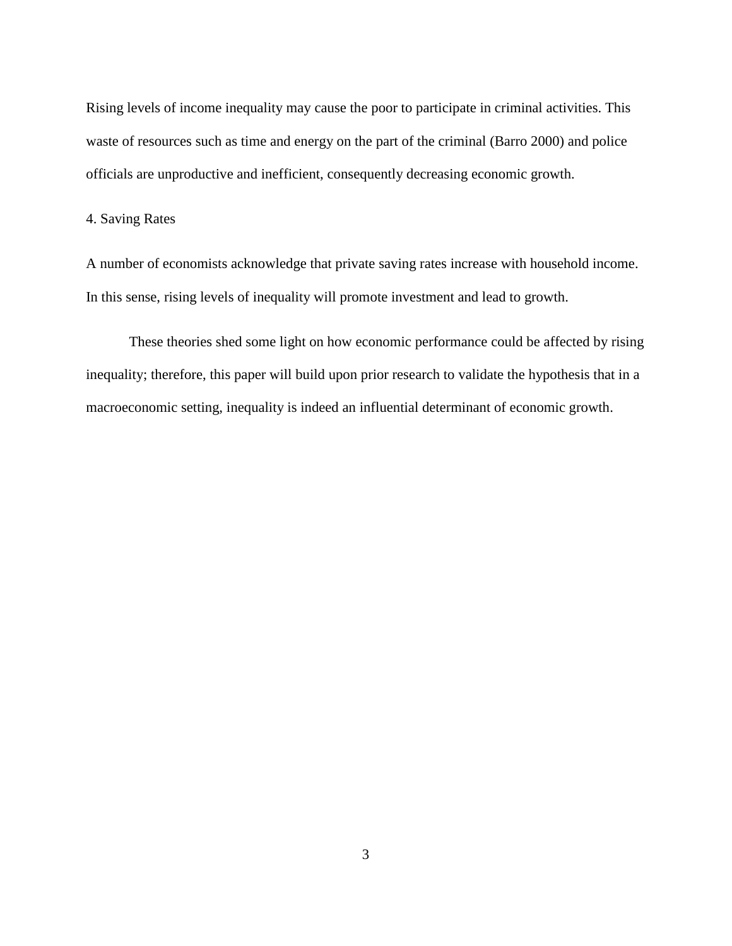Rising levels of income inequality may cause the poor to participate in criminal activities. This waste of resources such as time and energy on the part of the criminal (Barro 2000) and police officials are unproductive and inefficient, consequently decreasing economic growth.

#### 4. Saving Rates

A number of economists acknowledge that private saving rates increase with household income. In this sense, rising levels of inequality will promote investment and lead to growth.

These theories shed some light on how economic performance could be affected by rising inequality; therefore, this paper will build upon prior research to validate the hypothesis that in a macroeconomic setting, inequality is indeed an influential determinant of economic growth.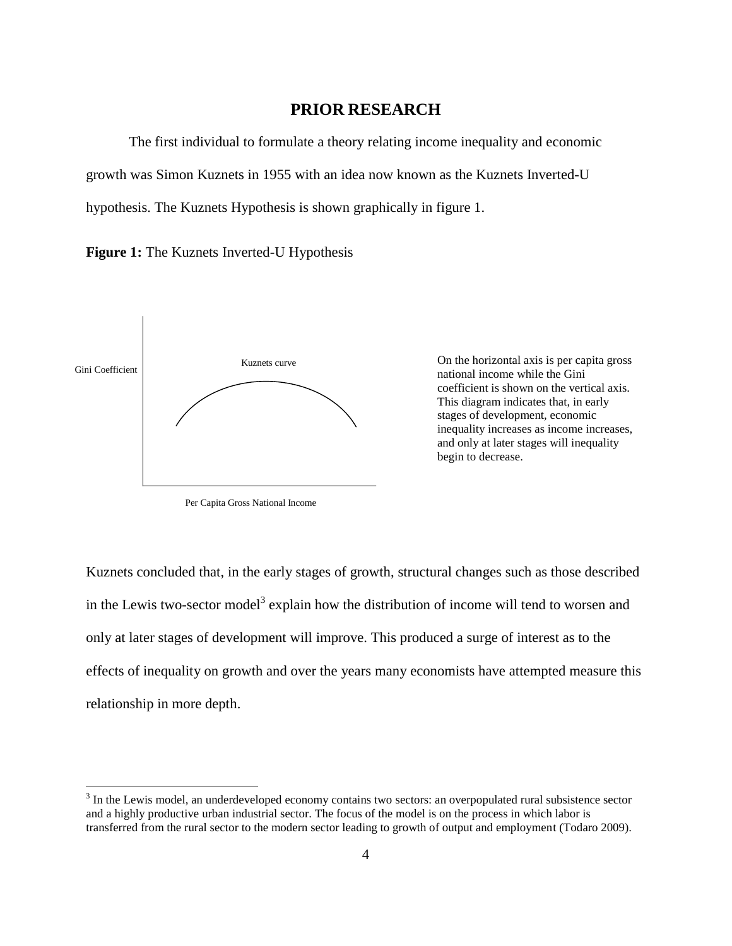#### **PRIOR RESEARCH**

The first individual to formulate a theory relating income inequality and economic growth was Simon Kuznets in 1955 with an idea now known as the Kuznets Inverted-U hypothesis. The Kuznets Hypothesis is shown graphically in figure 1.

**Figure 1:** The Kuznets Inverted-U Hypothesis



 $\overline{a}$ 

Per Capita Gross National Income

Kuznets curve On the horizontal axis is per capita gross national income while the Gini coefficient is shown on the vertical axis. This diagram indicates that, in early stages of development, economic inequality increases as income increases, and only at later stages will inequality begin to decrease.

Kuznets concluded that, in the early stages of growth, structural changes such as those described in the Lewis two-sector model<sup>3</sup> explain how the distribution of income will tend to worsen and only at later stages of development will improve. This produced a surge of interest as to the effects of inequality on growth and over the years many economists have attempted measure this relationship in more depth.

 $3$  In the Lewis model, an underdeveloped economy contains two sectors: an overpopulated rural subsistence sector and a highly productive urban industrial sector. The focus of the model is on the process in which labor is transferred from the rural sector to the modern sector leading to growth of output and employment (Todaro 2009).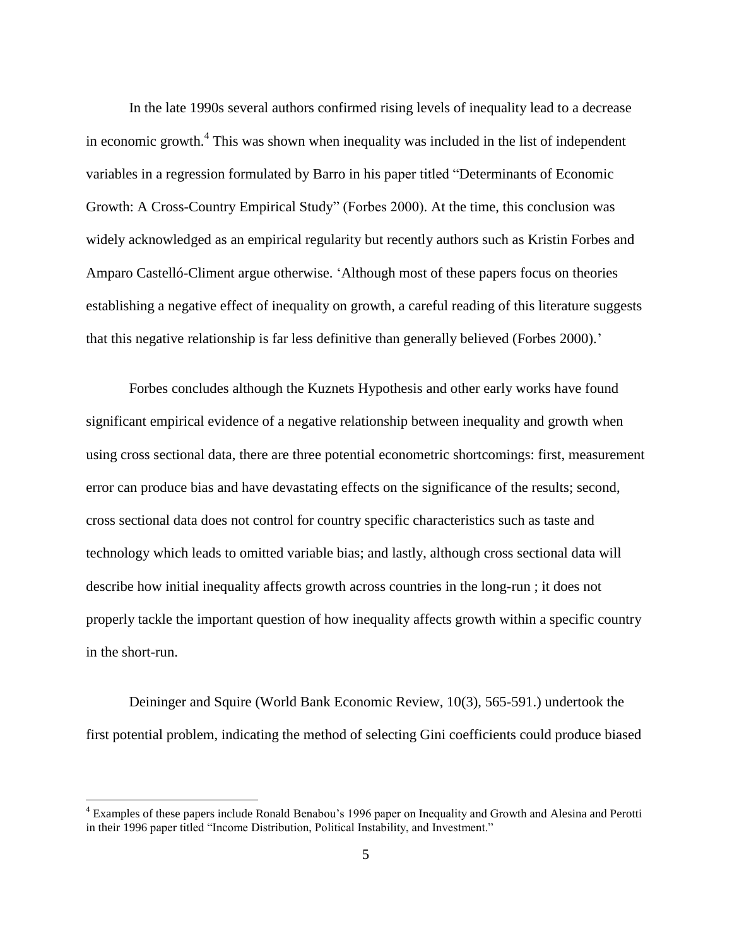In the late 1990s several authors confirmed rising levels of inequality lead to a decrease in economic growth.<sup>4</sup> This was shown when inequality was included in the list of independent variables in a regression formulated by Barro in his paper titled "Determinants of Economic Growth: A Cross-Country Empirical Study" (Forbes 2000). At the time, this conclusion was widely acknowledged as an empirical regularity but recently authors such as Kristin Forbes and Amparo Castelló-Climent argue otherwise. 'Although most of these papers focus on theories establishing a negative effect of inequality on growth, a careful reading of this literature suggests that this negative relationship is far less definitive than generally believed (Forbes 2000).'

Forbes concludes although the Kuznets Hypothesis and other early works have found significant empirical evidence of a negative relationship between inequality and growth when using cross sectional data, there are three potential econometric shortcomings: first, measurement error can produce bias and have devastating effects on the significance of the results; second, cross sectional data does not control for country specific characteristics such as taste and technology which leads to omitted variable bias; and lastly, although cross sectional data will describe how initial inequality affects growth across countries in the long-run ; it does not properly tackle the important question of how inequality affects growth within a specific country in the short-run.

Deininger and Squire (World Bank Economic Review, 10(3), 565-591.) undertook the first potential problem, indicating the method of selecting Gini coefficients could produce biased

<sup>4</sup> Examples of these papers include Ronald Benabou's 1996 paper on Inequality and Growth and Alesina and Perotti in their 1996 paper titled "Income Distribution, Political Instability, and Investment."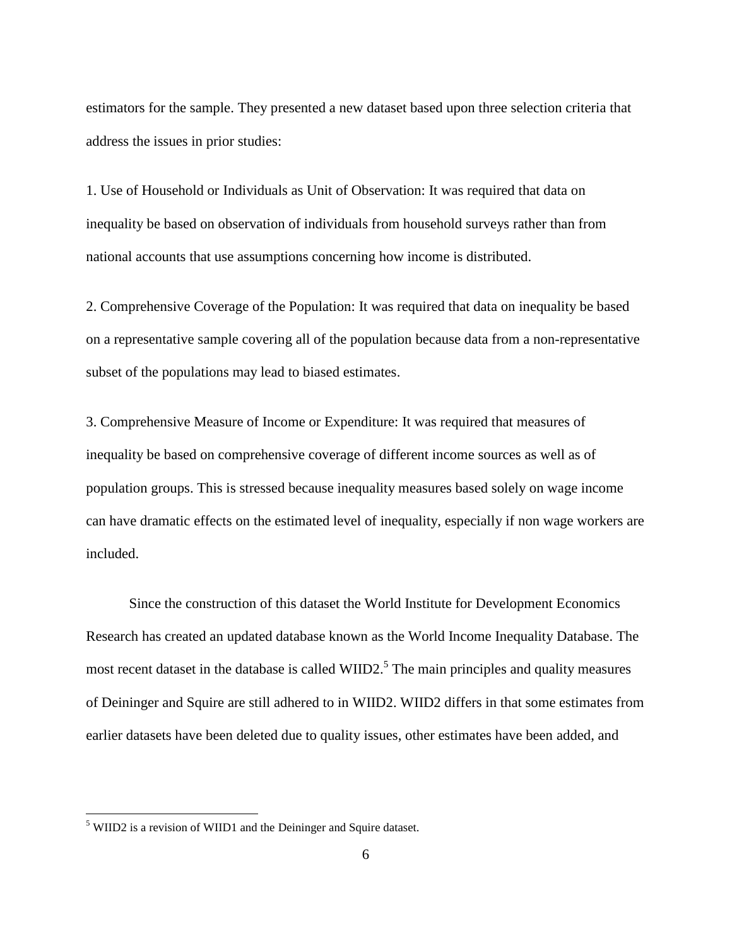estimators for the sample. They presented a new dataset based upon three selection criteria that address the issues in prior studies:

1. Use of Household or Individuals as Unit of Observation: It was required that data on inequality be based on observation of individuals from household surveys rather than from national accounts that use assumptions concerning how income is distributed.

2. Comprehensive Coverage of the Population: It was required that data on inequality be based on a representative sample covering all of the population because data from a non-representative subset of the populations may lead to biased estimates.

3. Comprehensive Measure of Income or Expenditure: It was required that measures of inequality be based on comprehensive coverage of different income sources as well as of population groups. This is stressed because inequality measures based solely on wage income can have dramatic effects on the estimated level of inequality, especially if non wage workers are included.

Since the construction of this dataset the World Institute for Development Economics Research has created an updated database known as the World Income Inequality Database. The most recent dataset in the database is called WIID2.<sup>5</sup> The main principles and quality measures of Deininger and Squire are still adhered to in WIID2. WIID2 differs in that some estimates from earlier datasets have been deleted due to quality issues, other estimates have been added, and

<sup>5</sup> WIID2 is a revision of WIID1 and the Deininger and Squire dataset.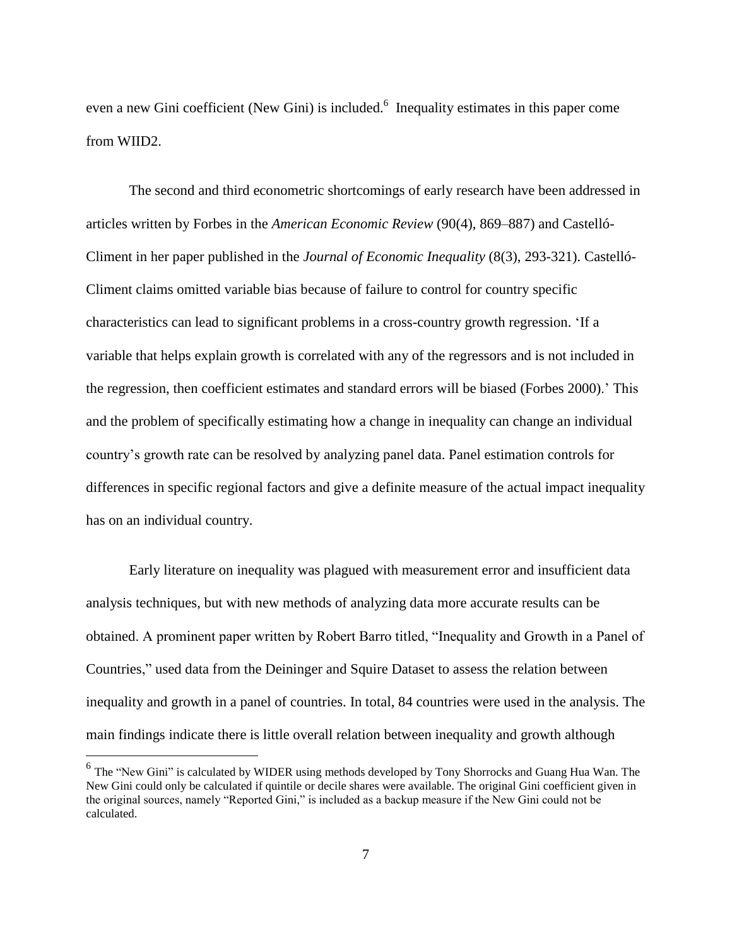even a new Gini coefficient (New Gini) is included.<sup>6</sup> Inequality estimates in this paper come from WIID2.

The second and third econometric shortcomings of early research have been addressed in articles written by Forbes in the *American Economic Review* (90(4), 869–887) and Castelló-Climent in her paper published in the *Journal of Economic Inequality* (8(3), 293-321). Castelló-Climent claims omitted variable bias because of failure to control for country specific characteristics can lead to significant problems in a cross-country growth regression. 'If a variable that helps explain growth is correlated with any of the regressors and is not included in the regression, then coefficient estimates and standard errors will be biased (Forbes 2000).' This and the problem of specifically estimating how a change in inequality can change an individual country's growth rate can be resolved by analyzing panel data. Panel estimation controls for differences in specific regional factors and give a definite measure of the actual impact inequality has on an individual country.

Early literature on inequality was plagued with measurement error and insufficient data analysis techniques, but with new methods of analyzing data more accurate results can be obtained. A prominent paper written by Robert Barro titled, "Inequality and Growth in a Panel of Countries," used data from the Deininger and Squire Dataset to assess the relation between inequality and growth in a panel of countries. In total, 84 countries were used in the analysis. The main findings indicate there is little overall relation between inequality and growth although

<sup>&</sup>lt;sup>6</sup> The "New Gini" is calculated by WIDER using methods developed by Tony Shorrocks and Guang Hua Wan. The New Gini could only be calculated if quintile or decile shares were available. The original Gini coefficient given in the original sources, namely "Reported Gini," is included as a backup measure if the New Gini could not be calculated.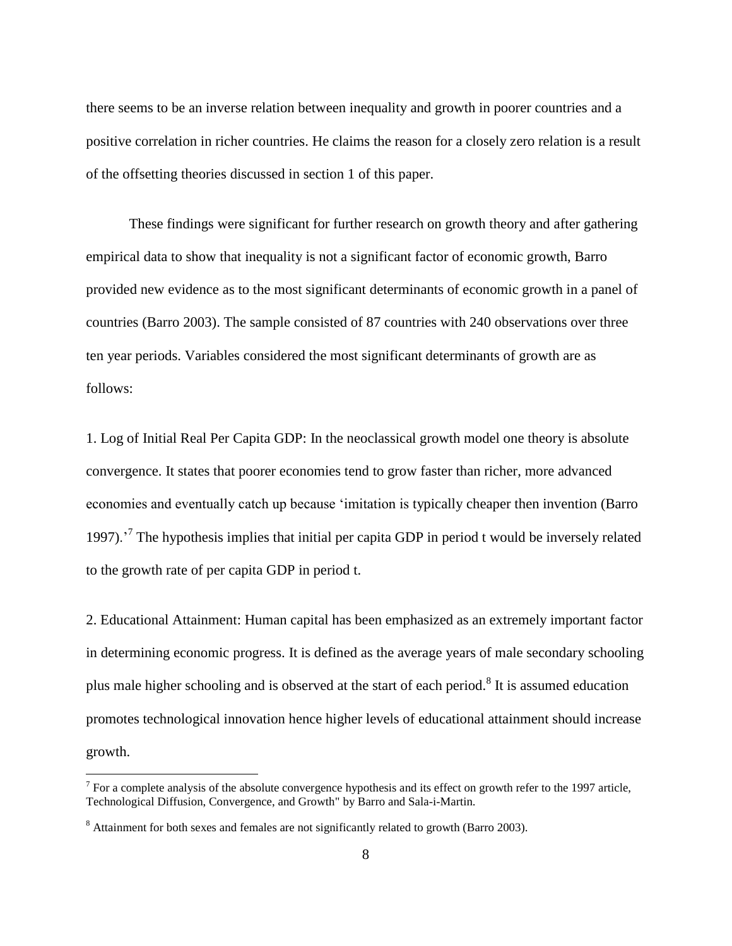there seems to be an inverse relation between inequality and growth in poorer countries and a positive correlation in richer countries. He claims the reason for a closely zero relation is a result of the offsetting theories discussed in section 1 of this paper.

These findings were significant for further research on growth theory and after gathering empirical data to show that inequality is not a significant factor of economic growth, Barro provided new evidence as to the most significant determinants of economic growth in a panel of countries (Barro 2003). The sample consisted of 87 countries with 240 observations over three ten year periods. Variables considered the most significant determinants of growth are as follows:

1. Log of Initial Real Per Capita GDP: In the neoclassical growth model one theory is absolute convergence. It states that poorer economies tend to grow faster than richer, more advanced economies and eventually catch up because 'imitation is typically cheaper then invention (Barro 1997).<sup>7</sup> The hypothesis implies that initial per capita GDP in period t would be inversely related to the growth rate of per capita GDP in period t.

2. Educational Attainment: Human capital has been emphasized as an extremely important factor in determining economic progress. It is defined as the average years of male secondary schooling plus male higher schooling and is observed at the start of each period.<sup>8</sup> It is assumed education promotes technological innovation hence higher levels of educational attainment should increase growth.

 $7$  For a complete analysis of the absolute convergence hypothesis and its effect on growth refer to the 1997 article, [Technological Diffusion, Convergence, and Growth"](http://ideas.repec.org/a/kap/jecgro/v2y1997i1p1-26.html) by Barro and Sala-i-Martin.

<sup>&</sup>lt;sup>8</sup> Attainment for both sexes and females are not significantly related to growth (Barro 2003).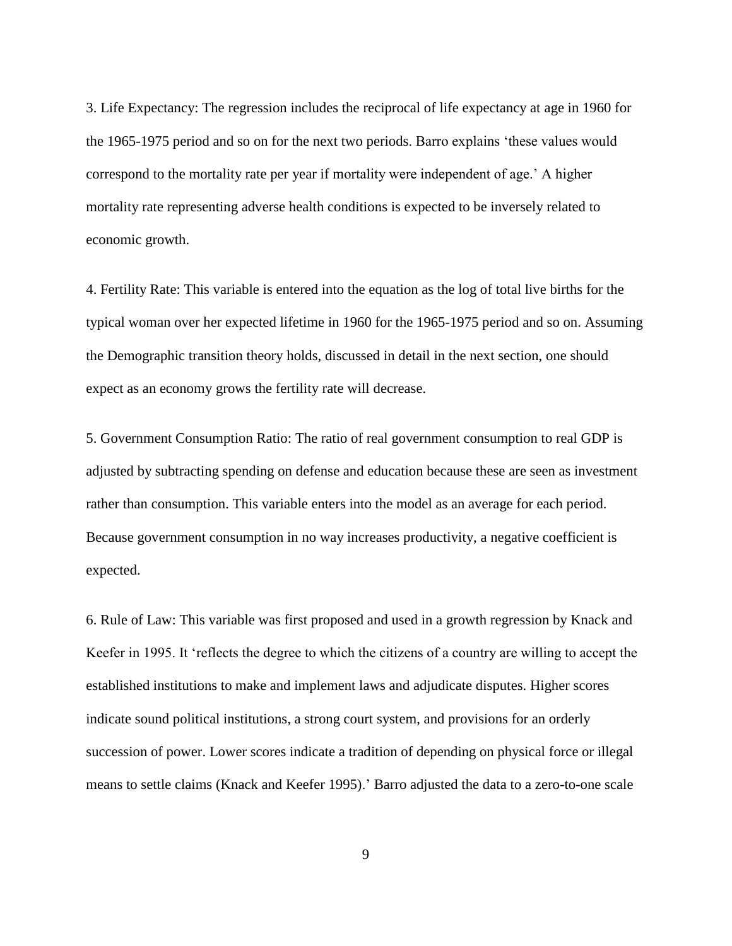3. Life Expectancy: The regression includes the reciprocal of life expectancy at age in 1960 for the 1965-1975 period and so on for the next two periods. Barro explains 'these values would correspond to the mortality rate per year if mortality were independent of age.' A higher mortality rate representing adverse health conditions is expected to be inversely related to economic growth.

4. Fertility Rate: This variable is entered into the equation as the log of total live births for the typical woman over her expected lifetime in 1960 for the 1965-1975 period and so on. Assuming the Demographic transition theory holds, discussed in detail in the next section, one should expect as an economy grows the fertility rate will decrease.

5. Government Consumption Ratio: The ratio of real government consumption to real GDP is adjusted by subtracting spending on defense and education because these are seen as investment rather than consumption. This variable enters into the model as an average for each period. Because government consumption in no way increases productivity, a negative coefficient is expected.

6. Rule of Law: This variable was first proposed and used in a growth regression by Knack and Keefer in 1995. It 'reflects the degree to which the citizens of a country are willing to accept the established institutions to make and implement laws and adjudicate disputes. Higher scores indicate sound political institutions, a strong court system, and provisions for an orderly succession of power. Lower scores indicate a tradition of depending on physical force or illegal means to settle claims (Knack and Keefer 1995).' Barro adjusted the data to a zero-to-one scale

9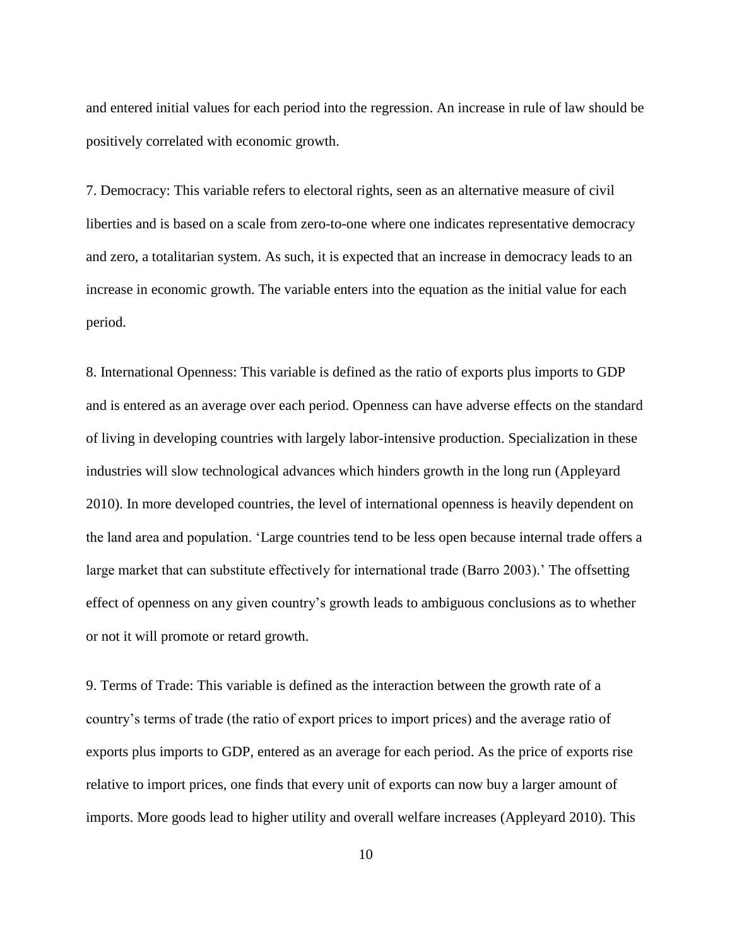and entered initial values for each period into the regression. An increase in rule of law should be positively correlated with economic growth.

7. Democracy: This variable refers to electoral rights, seen as an alternative measure of civil liberties and is based on a scale from zero-to-one where one indicates representative democracy and zero, a totalitarian system. As such, it is expected that an increase in democracy leads to an increase in economic growth. The variable enters into the equation as the initial value for each period.

8. International Openness: This variable is defined as the ratio of exports plus imports to GDP and is entered as an average over each period. Openness can have adverse effects on the standard of living in developing countries with largely labor-intensive production. Specialization in these industries will slow technological advances which hinders growth in the long run (Appleyard 2010). In more developed countries, the level of international openness is heavily dependent on the land area and population. 'Large countries tend to be less open because internal trade offers a large market that can substitute effectively for international trade (Barro 2003).' The offsetting effect of openness on any given country's growth leads to ambiguous conclusions as to whether or not it will promote or retard growth.

9. Terms of Trade: This variable is defined as the interaction between the growth rate of a country's terms of trade (the ratio of export prices to import prices) and the average ratio of exports plus imports to GDP, entered as an average for each period. As the price of exports rise relative to import prices, one finds that every unit of exports can now buy a larger amount of imports. More goods lead to higher utility and overall welfare increases (Appleyard 2010). This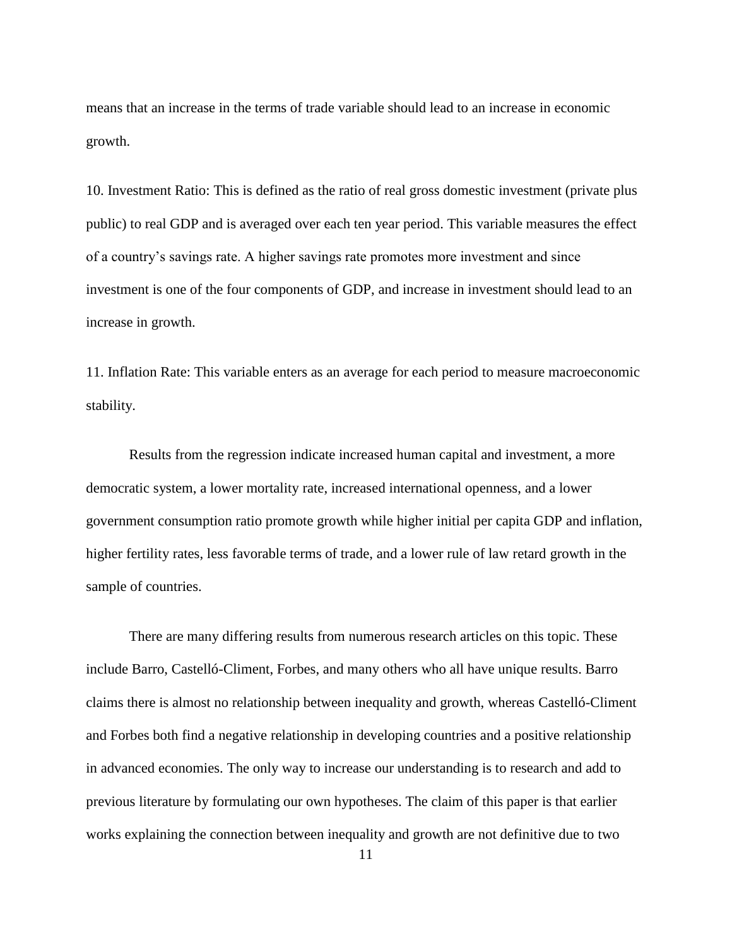means that an increase in the terms of trade variable should lead to an increase in economic growth.

10. Investment Ratio: This is defined as the ratio of real gross domestic investment (private plus public) to real GDP and is averaged over each ten year period. This variable measures the effect of a country's savings rate. A higher savings rate promotes more investment and since investment is one of the four components of GDP, and increase in investment should lead to an increase in growth.

11. Inflation Rate: This variable enters as an average for each period to measure macroeconomic stability.

Results from the regression indicate increased human capital and investment, a more democratic system, a lower mortality rate, increased international openness, and a lower government consumption ratio promote growth while higher initial per capita GDP and inflation, higher fertility rates, less favorable terms of trade, and a lower rule of law retard growth in the sample of countries.

There are many differing results from numerous research articles on this topic. These include Barro, Castelló-Climent, Forbes, and many others who all have unique results. Barro claims there is almost no relationship between inequality and growth, whereas Castelló-Climent and Forbes both find a negative relationship in developing countries and a positive relationship in advanced economies. The only way to increase our understanding is to research and add to previous literature by formulating our own hypotheses. The claim of this paper is that earlier works explaining the connection between inequality and growth are not definitive due to two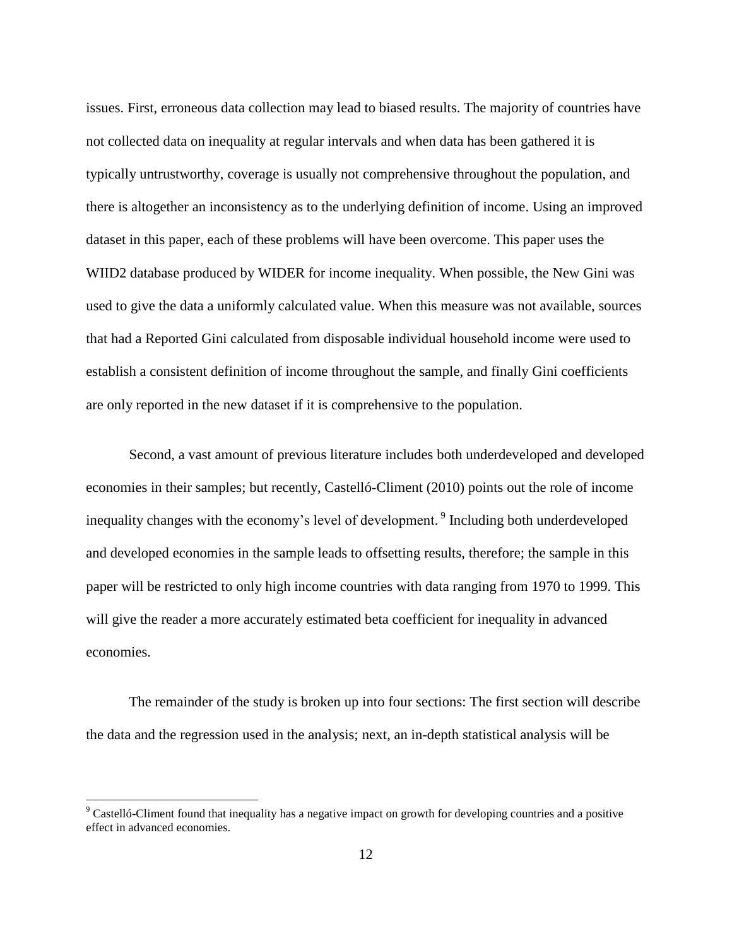issues. First, erroneous data collection may lead to biased results. The majority of countries have not collected data on inequality at regular intervals and when data has been gathered it is typically untrustworthy, coverage is usually not comprehensive throughout the population, and there is altogether an inconsistency as to the underlying definition of income. Using an improved dataset in this paper, each of these problems will have been overcome. This paper uses the WIID2 database produced by WIDER for income inequality. When possible, the New Gini was used to give the data a uniformly calculated value. When this measure was not available, sources that had a Reported Gini calculated from disposable individual household income were used to establish a consistent definition of income throughout the sample, and finally Gini coefficients are only reported in the new dataset if it is comprehensive to the population.

Second, a vast amount of previous literature includes both underdeveloped and developed economies in their samples; but recently, Castelló-Climent (2010) points out the role of income inequality changes with the economy's level of development. <sup>9</sup> Including both underdeveloped and developed economies in the sample leads to offsetting results, therefore; the sample in this paper will be restricted to only high income countries with data ranging from 1970 to 1999. This will give the reader a more accurately estimated beta coefficient for inequality in advanced economies.

The remainder of the study is broken up into four sections: The first section will describe the data and the regression used in the analysis; next, an in-depth statistical analysis will be

 $9^9$  Castelló-Climent found that inequality has a negative impact on growth for developing countries and a positive effect in advanced economies.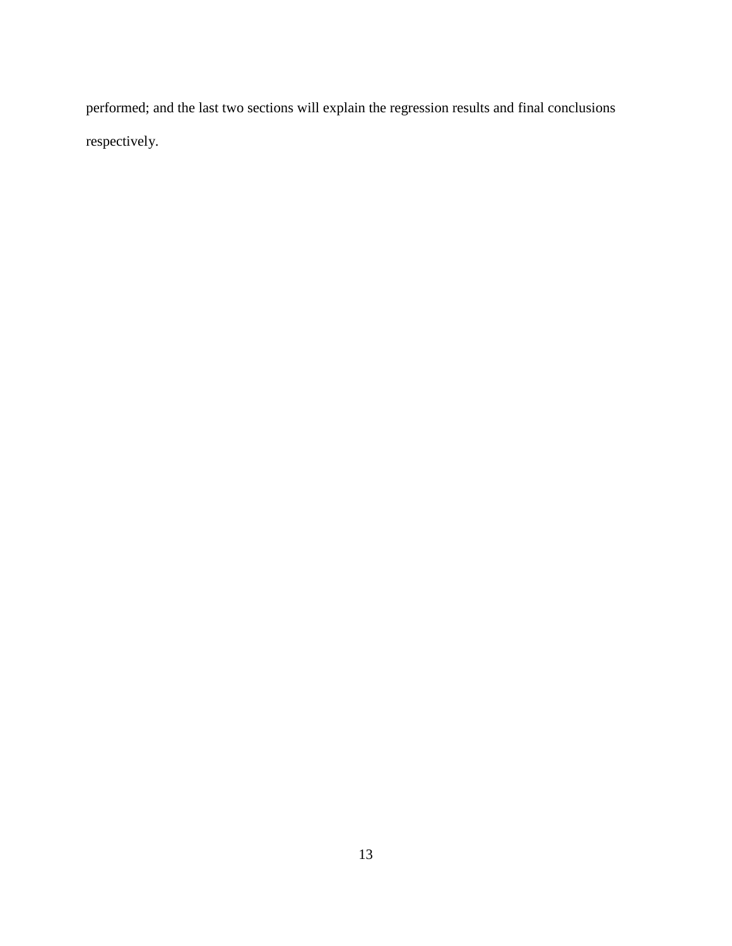performed; and the last two sections will explain the regression results and final conclusions respectively.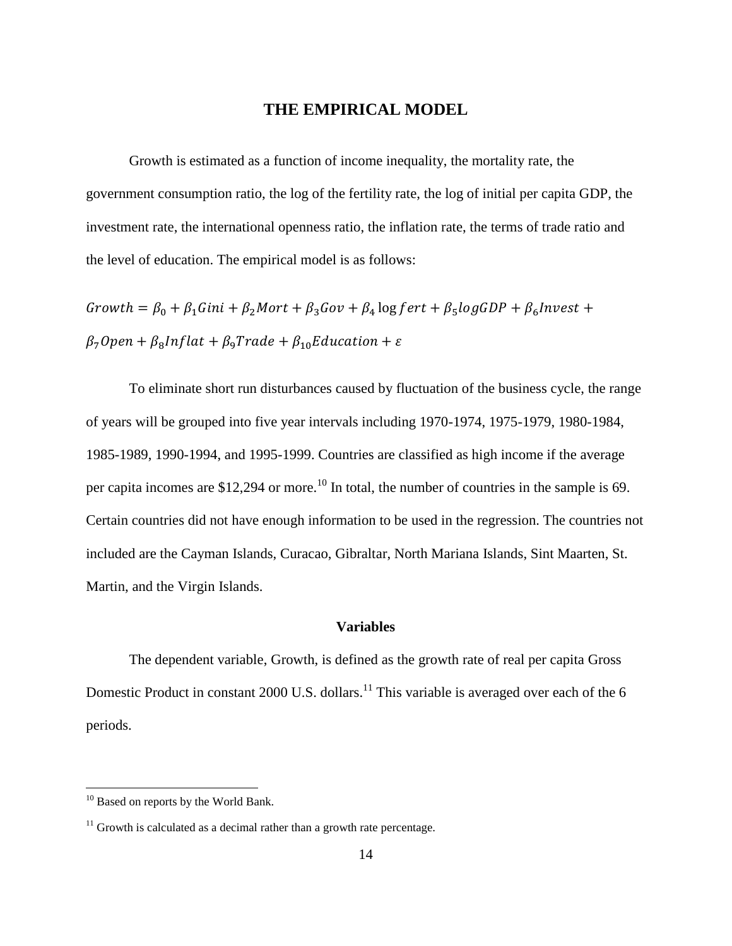#### **THE EMPIRICAL MODEL**

Growth is estimated as a function of income inequality, the mortality rate, the government consumption ratio, the log of the fertility rate, the log of initial per capita GDP, the investment rate, the international openness ratio, the inflation rate, the terms of trade ratio and the level of education. The empirical model is as follows:

Growth =  $\beta_0 + \beta_1 Gini + \beta_2 Mort + \beta_3 Gov + \beta_4 \log fert + \beta_5 \log GDP + \beta_6 Invest +$  $\beta_7$ Open +  $\beta_8$ Inflat +  $\beta_9$ Trade +  $\beta_{10}$ Education +  $\varepsilon$ 

To eliminate short run disturbances caused by fluctuation of the business cycle, the range of years will be grouped into five year intervals including 1970-1974, 1975-1979, 1980-1984, 1985-1989, 1990-1994, and 1995-1999. Countries are classified as high income if the average per capita incomes are  $$12,294$  or more.<sup>10</sup> In total, the number of countries in the sample is 69. Certain countries did not have enough information to be used in the regression. The countries not included are the Cayman Islands, Curacao, Gibraltar, North Mariana Islands, Sint Maarten, St. Martin, and the Virgin Islands.

#### **Variables**

The dependent variable, Growth, is defined as the growth rate of real per capita Gross Domestic Product in constant 2000 U.S. dollars.<sup>11</sup> This variable is averaged over each of the 6 periods.

<sup>&</sup>lt;sup>10</sup> Based on reports by the World Bank.

 $11$  Growth is calculated as a decimal rather than a growth rate percentage.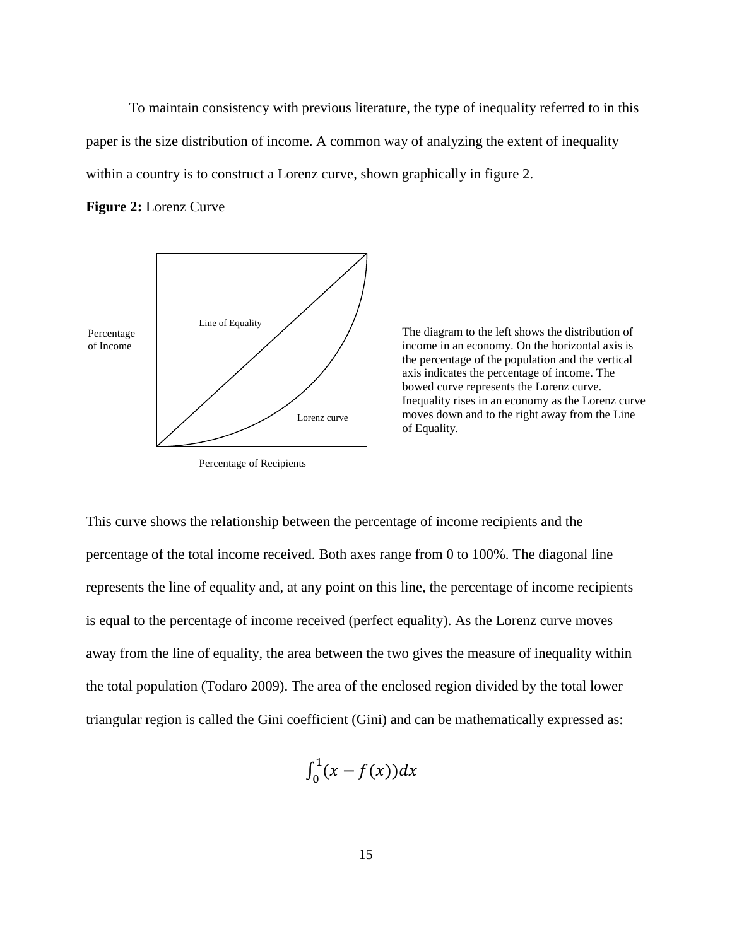To maintain consistency with previous literature, the type of inequality referred to in this paper is the size distribution of income. A common way of analyzing the extent of inequality within a country is to construct a Lorenz curve, shown graphically in figure 2.

#### **Figure 2:** Lorenz Curve



Percentage of Recipients

The diagram to the left shows the distribution of income in an economy. On the horizontal axis is the percentage of the population and the vertical axis indicates the percentage of income. The bowed curve represents the Lorenz curve. Inequality rises in an economy as the Lorenz curve moves down and to the right away from the Line of Equality.

This curve shows the relationship between the percentage of income recipients and the percentage of the total income received. Both axes range from 0 to 100%. The diagonal line represents the line of equality and, at any point on this line, the percentage of income recipients is equal to the percentage of income received (perfect equality). As the Lorenz curve moves away from the line of equality, the area between the two gives the measure of inequality within the total population (Todaro 2009). The area of the enclosed region divided by the total lower triangular region is called the Gini coefficient (Gini) and can be mathematically expressed as:

$$
\int_0^1 (x - f(x)) dx
$$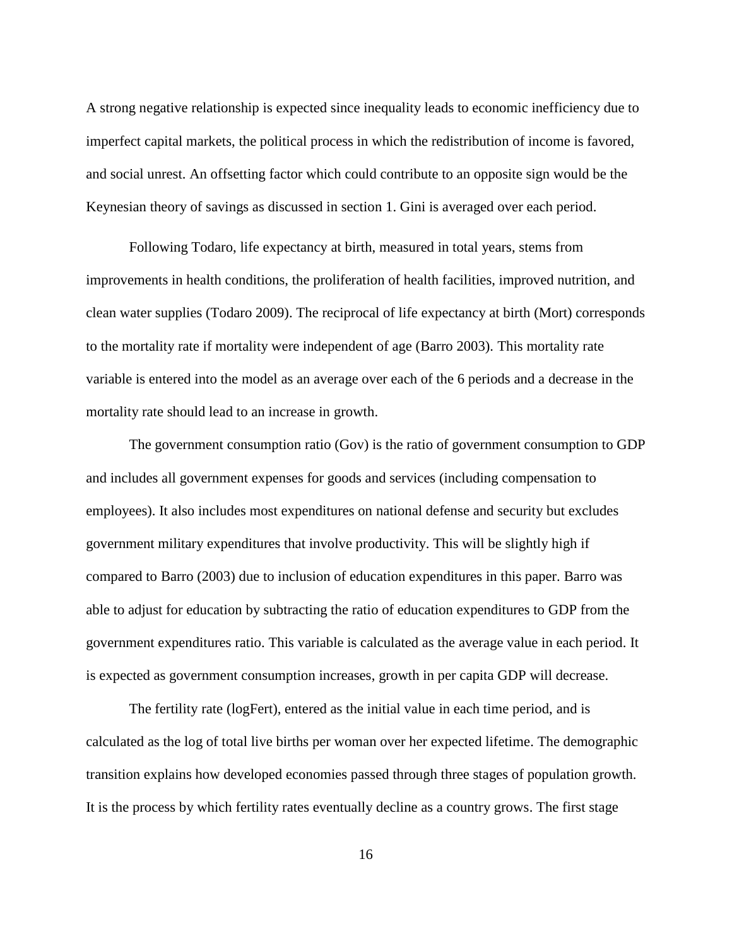A strong negative relationship is expected since inequality leads to economic inefficiency due to imperfect capital markets, the political process in which the redistribution of income is favored, and social unrest. An offsetting factor which could contribute to an opposite sign would be the Keynesian theory of savings as discussed in section 1. Gini is averaged over each period.

Following Todaro, life expectancy at birth, measured in total years, stems from improvements in health conditions, the proliferation of health facilities, improved nutrition, and clean water supplies (Todaro 2009). The reciprocal of life expectancy at birth (Mort) corresponds to the mortality rate if mortality were independent of age (Barro 2003). This mortality rate variable is entered into the model as an average over each of the 6 periods and a decrease in the mortality rate should lead to an increase in growth.

The government consumption ratio (Gov) is the ratio of government consumption to GDP and includes all government expenses for goods and services (including compensation to employees). It also includes most expenditures on national defense and security but excludes government military expenditures that involve productivity. This will be slightly high if compared to Barro (2003) due to inclusion of education expenditures in this paper. Barro was able to adjust for education by subtracting the ratio of education expenditures to GDP from the government expenditures ratio. This variable is calculated as the average value in each period. It is expected as government consumption increases, growth in per capita GDP will decrease.

The fertility rate (logFert), entered as the initial value in each time period, and is calculated as the log of total live births per woman over her expected lifetime. The demographic transition explains how developed economies passed through three stages of population growth. It is the process by which fertility rates eventually decline as a country grows. The first stage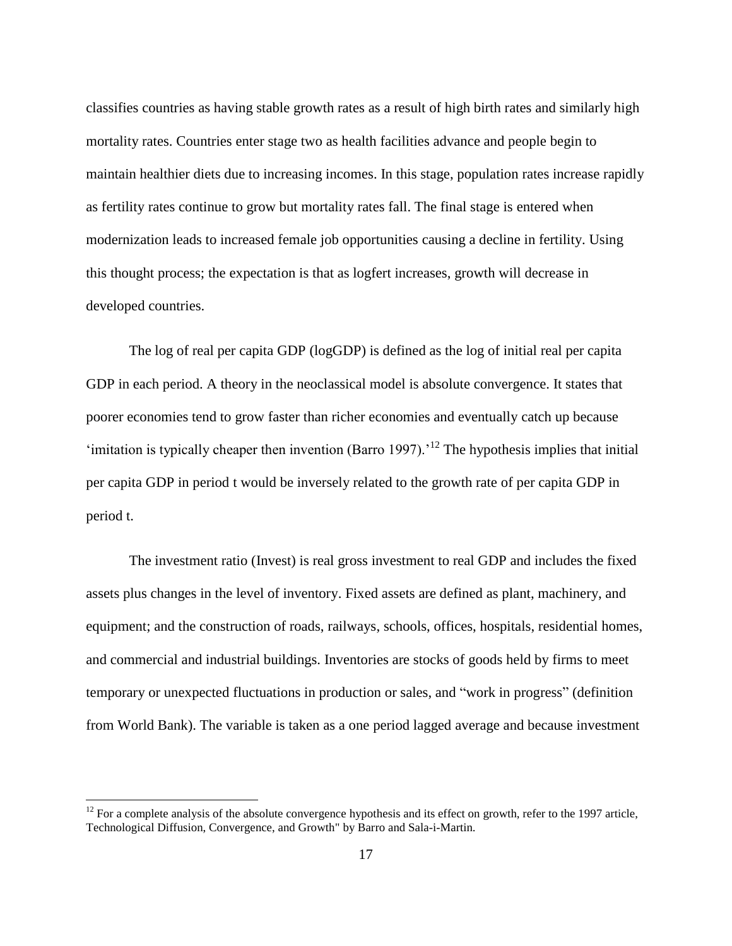classifies countries as having stable growth rates as a result of high birth rates and similarly high mortality rates. Countries enter stage two as health facilities advance and people begin to maintain healthier diets due to increasing incomes. In this stage, population rates increase rapidly as fertility rates continue to grow but mortality rates fall. The final stage is entered when modernization leads to increased female job opportunities causing a decline in fertility. Using this thought process; the expectation is that as logfert increases, growth will decrease in developed countries.

The log of real per capita GDP (logGDP) is defined as the log of initial real per capita GDP in each period. A theory in the neoclassical model is absolute convergence. It states that poorer economies tend to grow faster than richer economies and eventually catch up because 'imitation is typically cheaper then invention (Barro 1997).<sup>'12</sup> The hypothesis implies that initial per capita GDP in period t would be inversely related to the growth rate of per capita GDP in period t.

The investment ratio (Invest) is real gross investment to real GDP and includes the fixed assets plus changes in the level of inventory. Fixed assets are defined as plant, machinery, and equipment; and the construction of roads, railways, schools, offices, hospitals, residential homes, and commercial and industrial buildings. Inventories are stocks of goods held by firms to meet temporary or unexpected fluctuations in production or sales, and "work in progress" (definition from World Bank). The variable is taken as a one period lagged average and because investment

 $12$  For a complete analysis of the absolute convergence hypothesis and its effect on growth, refer to the 1997 article, [Technological Diffusion, Convergence, and Growth"](http://ideas.repec.org/a/kap/jecgro/v2y1997i1p1-26.html) by Barro and Sala-i-Martin.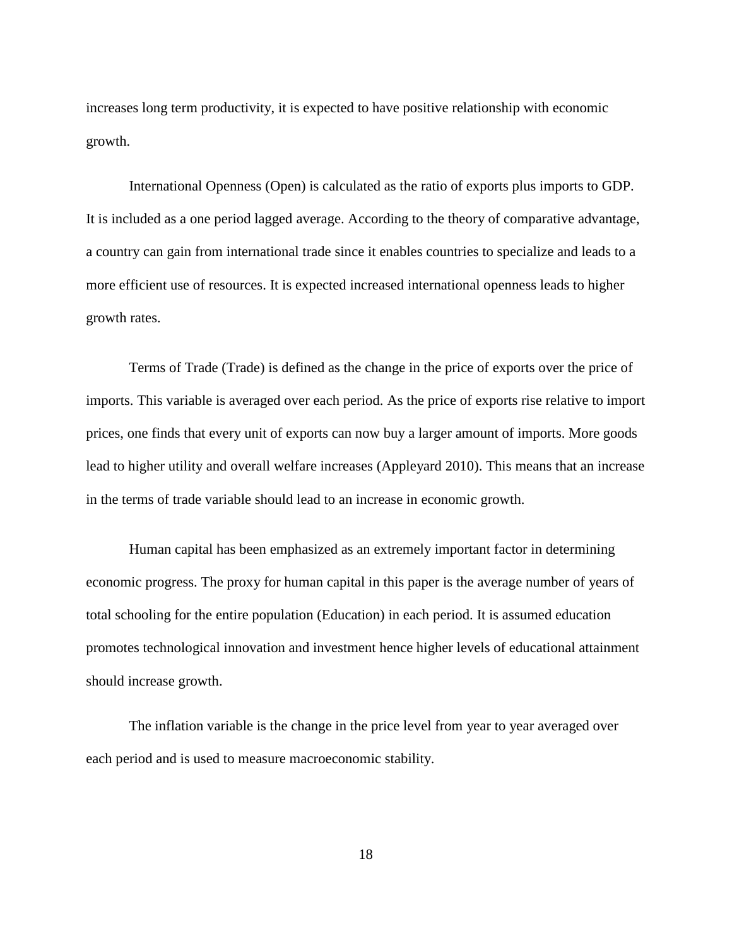increases long term productivity, it is expected to have positive relationship with economic growth.

International Openness (Open) is calculated as the ratio of exports plus imports to GDP. It is included as a one period lagged average. According to the theory of comparative advantage, a country can gain from international trade since it enables countries to specialize and leads to a more efficient use of resources. It is expected increased international openness leads to higher growth rates.

Terms of Trade (Trade) is defined as the change in the price of exports over the price of imports. This variable is averaged over each period. As the price of exports rise relative to import prices, one finds that every unit of exports can now buy a larger amount of imports. More goods lead to higher utility and overall welfare increases (Appleyard 2010). This means that an increase in the terms of trade variable should lead to an increase in economic growth.

Human capital has been emphasized as an extremely important factor in determining economic progress. The proxy for human capital in this paper is the average number of years of total schooling for the entire population (Education) in each period. It is assumed education promotes technological innovation and investment hence higher levels of educational attainment should increase growth.

The inflation variable is the change in the price level from year to year averaged over each period and is used to measure macroeconomic stability.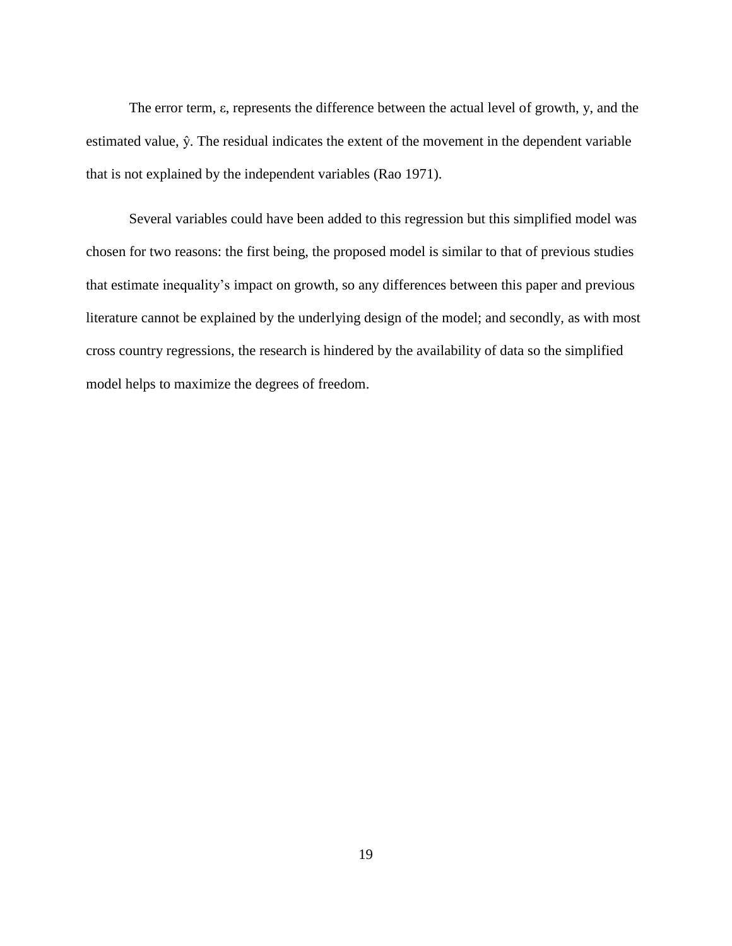The error term, ε, represents the difference between the actual level of growth, y, and the estimated value, ŷ. The residual indicates the extent of the movement in the dependent variable that is not explained by the independent variables (Rao 1971).

Several variables could have been added to this regression but this simplified model was chosen for two reasons: the first being, the proposed model is similar to that of previous studies that estimate inequality's impact on growth, so any differences between this paper and previous literature cannot be explained by the underlying design of the model; and secondly, as with most cross country regressions, the research is hindered by the availability of data so the simplified model helps to maximize the degrees of freedom.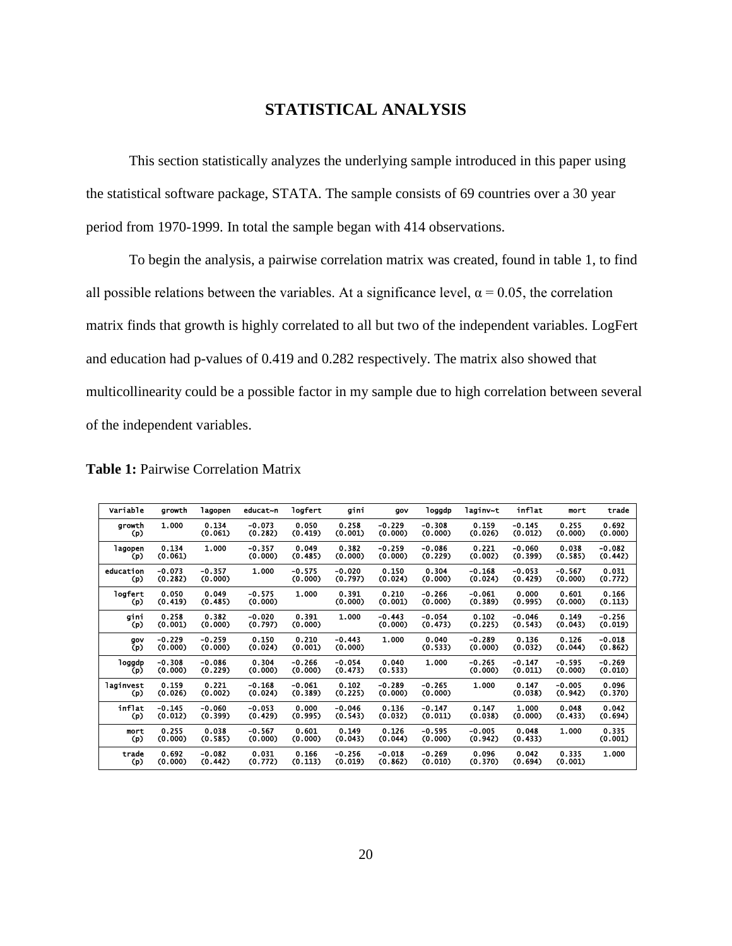#### **STATISTICAL ANALYSIS**

This section statistically analyzes the underlying sample introduced in this paper using the statistical software package, STATA. The sample consists of 69 countries over a 30 year period from 1970-1999. In total the sample began with 414 observations.

To begin the analysis, a pairwise correlation matrix was created, found in table 1, to find all possible relations between the variables. At a significance level,  $\alpha = 0.05$ , the correlation matrix finds that growth is highly correlated to all but two of the independent variables. LogFert and education had p-values of 0.419 and 0.282 respectively. The matrix also showed that multicollinearity could be a possible factor in my sample due to high correlation between several of the independent variables.

| Variable  | growth   | lagopen  | educat~n | logfert  | gini     | qov      | loggdp   | laqinv~t | inflat   | mort     | trade    |
|-----------|----------|----------|----------|----------|----------|----------|----------|----------|----------|----------|----------|
| growth    | 1.000    | 0.134    | $-0.073$ | 0.050    | 0.258    | $-0.229$ | $-0.308$ | 0.159    | $-0.145$ | 0.255    | 0.692    |
| (p)       |          | (0.061)  | (0.282)  | (0.419)  | (0.001)  | (0.000)  | (0.000)  | (0.026)  | (0.012)  | (0.000)  | (0.000)  |
| lagopen   | 0.134    | 1.000    | $-0.357$ | 0.049    | 0.382    | $-0.259$ | $-0.086$ | 0.221    | $-0.060$ | 0.038    | $-0.082$ |
| (p)       | (0.061)  |          | (0.000)  | (0.485)  | (0.000)  | (0.000)  | (0.229)  | (0.002)  | (0.399)  | (0.585)  | (0.442)  |
| education | $-0.073$ | $-0.357$ | 1.000    | $-0.575$ | $-0.020$ | 0.150    | 0.304    | $-0.168$ | $-0.053$ | $-0.567$ | 0.031    |
| (p)       | (0.282)  | (0.000)  |          | (0.000)  | (0.797)  | (0.024)  | (0.000)  | (0.024)  | (0.429)  | (0.000)  | (0.772)  |
| logfert   | 0.050    | 0.049    | $-0.575$ | 1.000    | 0.391    | 0.210    | $-0.266$ | $-0.061$ | 0.000    | 0.601    | 0.166    |
| (p)       | (0.419)  | (0.485)  | (0.000)  |          | (0.000)  | (0.001)  | (0.000)  | (0.389)  | (0.995)  | (0.000)  | (0.113)  |
| gini      | 0.258    | 0.382    | $-0.020$ | 0.391    | 1.000    | $-0.443$ | $-0.054$ | 0.102    | $-0.046$ | 0.149    | $-0.256$ |
| (p)       | (0.001)  | (0.000)  | (0.797)  | (0.000)  |          | (0.000)  | (0.473)  | (0.225)  | (0.543)  | (0.043)  | (0.019)  |
| qov       | $-0.229$ | $-0.259$ | 0.150    | 0.210    | $-0.443$ | 1.000    | 0.040    | $-0.289$ | 0.136    | 0.126    | $-0.018$ |
| (p)       | (0.000)  | (0.000)  | (0.024)  | (0.001)  | (0.000)  |          | (0.533)  | (0.000)  | (0.032)  | (0.044)  | (0.862)  |
| loggdp    | $-0.308$ | $-0.086$ | 0.304    | $-0.266$ | $-0.054$ | 0.040    | 1.000    | $-0.265$ | $-0.147$ | $-0.595$ | $-0.269$ |
| (p)       | (0.000)  | (0.229)  | (0.000)  | (0.000)  | (0.473)  | (0.533)  |          | (0.000)  | (0.011)  | (0.000)  | (0.010)  |
| laginvest | 0.159    | 0.221    | $-0.168$ | $-0.061$ | 0.102    | $-0.289$ | $-0.265$ | 1.000    | 0.147    | $-0.005$ | 0.096    |
| (p)       | (0.026)  | (0.002)  | (0.024)  | (0.389)  | (0.225)  | (0.000)  | (0.000)  |          | (0.038)  | (0.942)  | (0.370)  |
| inflat    | $-0.145$ | $-0.060$ | $-0.053$ | 0.000    | $-0.046$ | 0.136    | $-0.147$ | 0.147    | 1.000    | 0.048    | 0.042    |
| (p)       | (0.012)  | (0.399)  | (0.429)  | (0.995)  | (0.543)  | (0.032)  | (0.011)  | (0.038)  | (0.000)  | (0.433)  | (0.694)  |
| mort      | 0.255    | 0.038    | $-0.567$ | 0.601    | 0.149    | 0.126    | $-0.595$ | $-0.005$ | 0.048    | 1.000    | 0.335    |
| (p)       | (0.000)  | (0.585)  | (0.000)  | (0.000)  | (0.043)  | (0.044)  | (0.000)  | (0.942)  | (0.433)  |          | (0.001)  |
| trade     | 0.692    | $-0.082$ | 0.031    | 0.166    | $-0.256$ | $-0.018$ | $-0.269$ | 0.096    | 0.042    | 0.335    | 1.000    |
| (p)       | (0.000)  | (0.442)  | (0.772)  | (0.113)  | (0.019)  | (0.862)  | (0.010)  | (0.370)  | (0.694)  | (0.001)  |          |

**Table 1:** Pairwise Correlation Matrix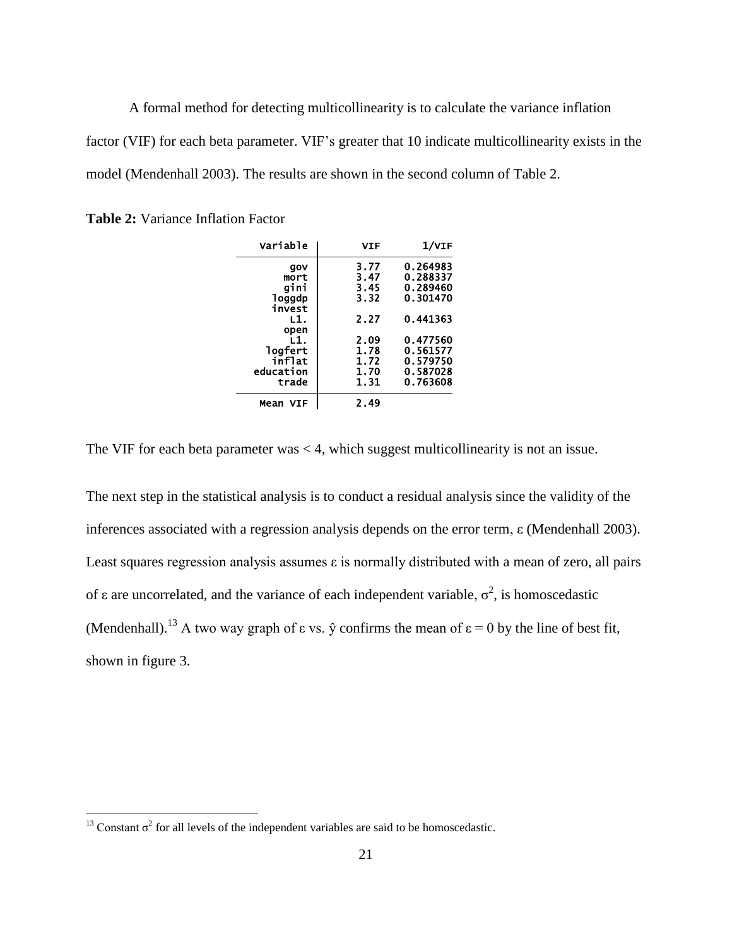A formal method for detecting multicollinearity is to calculate the variance inflation factor (VIF) for each beta parameter. VIF's greater that 10 indicate multicollinearity exists in the model (Mendenhall 2003). The results are shown in the second column of Table 2.

| Variable      | VIF  | $1/\texttt{vir}$ |
|---------------|------|------------------|
| gov           | 3.77 | 0.264983         |
| mort          | 3.47 | 0.288337         |
| aini          | 3.45 | 0.289460         |
| <b>loggdp</b> | 3.32 | 0.301470         |
| invest        |      |                  |
| L1.           | 2.27 | 0.441363         |
| open          |      |                  |
| L1.           | 2.09 | 0.477560         |
| logfert       | 1.78 | 0.561577         |
| inflat        | 1.72 | 0.579750         |
| education     | 1.70 | 0.587028         |
| trade         | 1.31 | 0.763608         |
| Mean VIF      | 2.49 |                  |

**Table 2:** Variance Inflation Factor

The VIF for each beta parameter was  $< 4$ , which suggest multicollinearity is not an issue.

The next step in the statistical analysis is to conduct a residual analysis since the validity of the inferences associated with a regression analysis depends on the error term, ε (Mendenhall 2003). Least squares regression analysis assumes  $\varepsilon$  is normally distributed with a mean of zero, all pairs of ε are uncorrelated, and the variance of each independent variable,  $\sigma^2$ , is homoscedastic (Mendenhall).<sup>13</sup> A two way graph of  $\varepsilon$  vs.  $\hat{y}$  confirms the mean of  $\varepsilon = 0$  by the line of best fit, shown in figure 3.

<sup>&</sup>lt;sup>13</sup> Constant  $\sigma^2$  for all levels of the independent variables are said to be homoscedastic.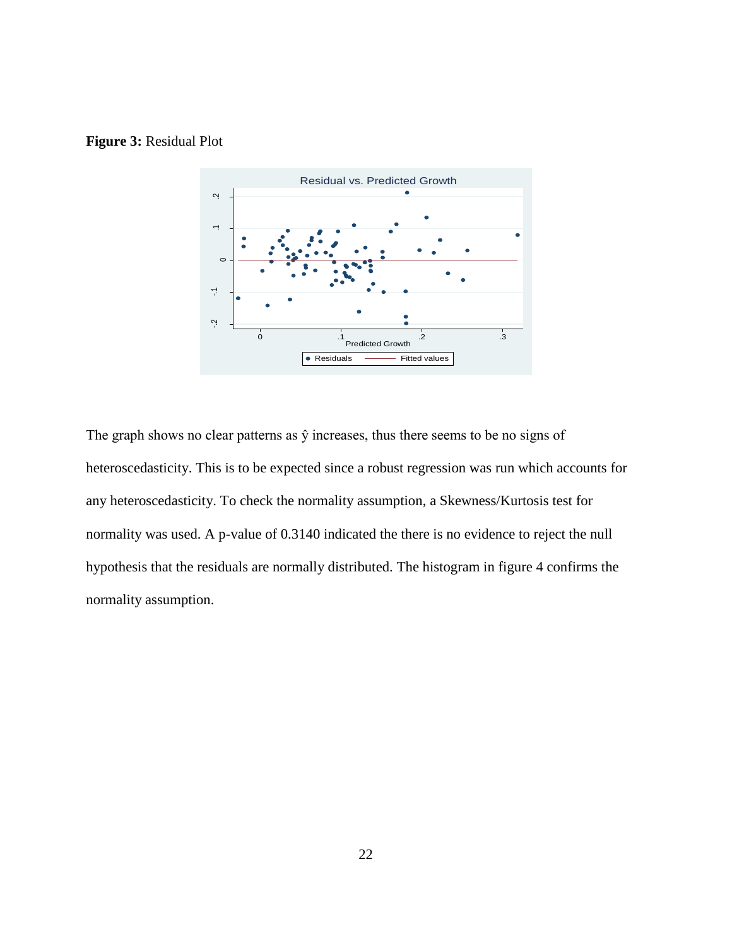#### **Figure 3:** Residual Plot



The graph shows no clear patterns as ŷ increases, thus there seems to be no signs of heteroscedasticity. This is to be expected since a robust regression was run which accounts for any heteroscedasticity. To check the normality assumption, a Skewness/Kurtosis test for normality was used. A p-value of 0.3140 indicated the there is no evidence to reject the null hypothesis that the residuals are normally distributed. The histogram in figure 4 confirms the normality assumption.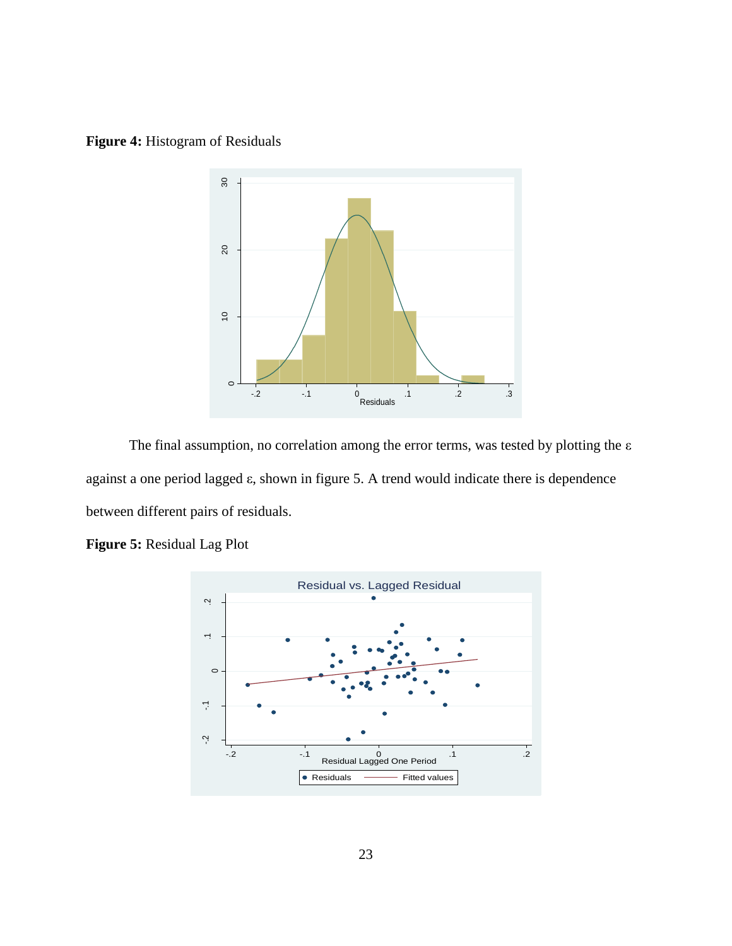**Figure 4:** Histogram of Residuals



The final assumption, no correlation among the error terms, was tested by plotting the  $\varepsilon$ against a one period lagged ε, shown in figure 5. A trend would indicate there is dependence between different pairs of residuals.



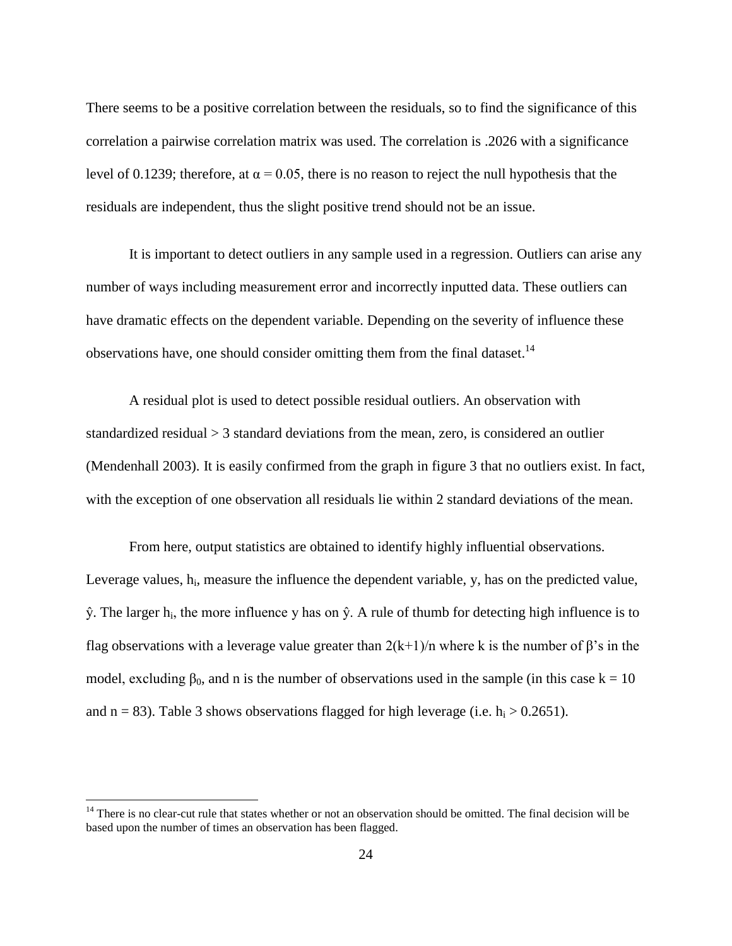There seems to be a positive correlation between the residuals, so to find the significance of this correlation a pairwise correlation matrix was used. The correlation is .2026 with a significance level of 0.1239; therefore, at  $α = 0.05$ , there is no reason to reject the null hypothesis that the residuals are independent, thus the slight positive trend should not be an issue.

It is important to detect outliers in any sample used in a regression. Outliers can arise any number of ways including measurement error and incorrectly inputted data. These outliers can have dramatic effects on the dependent variable. Depending on the severity of influence these observations have, one should consider omitting them from the final dataset.<sup>14</sup>

A residual plot is used to detect possible residual outliers. An observation with standardized residual > 3 standard deviations from the mean, zero, is considered an outlier (Mendenhall 2003). It is easily confirmed from the graph in figure 3 that no outliers exist. In fact, with the exception of one observation all residuals lie within 2 standard deviations of the mean.

From here, output statistics are obtained to identify highly influential observations. Leverage values,  $h_i$ , measure the influence the dependent variable,  $y$ , has on the predicted value,  $\hat{y}$ . The larger h<sub>i</sub>, the more influence y has on  $\hat{y}$ . A rule of thumb for detecting high influence is to flag observations with a leverage value greater than  $2(k+1)/n$  where k is the number of  $\beta$ 's in the model, excluding  $\beta_0$ , and n is the number of observations used in the sample (in this case  $k = 10$ ) and  $n = 83$ ). Table 3 shows observations flagged for high leverage (i.e.  $h_i > 0.2651$ ).

 $14$  There is no clear-cut rule that states whether or not an observation should be omitted. The final decision will be based upon the number of times an observation has been flagged.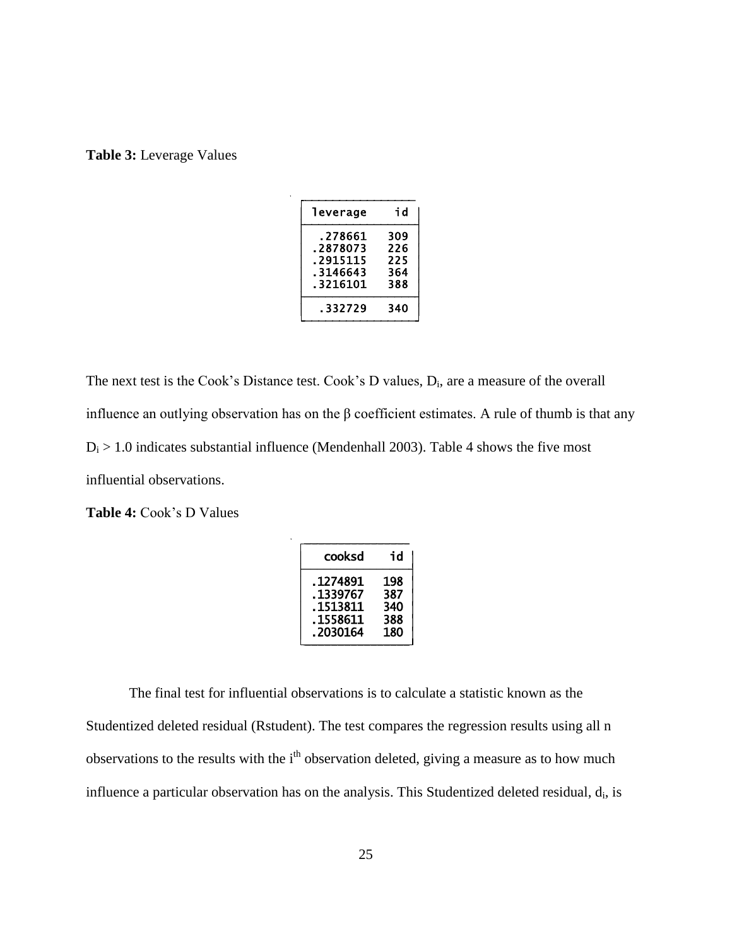| leverage              | id         |
|-----------------------|------------|
| .278661<br>.2878073   | 309<br>226 |
| .2915115              | 225        |
| . 3146643<br>.3216101 | 364<br>388 |
| . 332729              | 340        |

The next test is the Cook's Distance test. Cook's D values,  $D_i$ , are a measure of the overall influence an outlying observation has on the  $\beta$  coefficient estimates. A rule of thumb is that any  $D_i > 1.0$  indicates substantial influence (Mendenhall 2003). Table 4 shows the five most influential observations.

**Table 4:** Cook's D Values

| cooksd    | id  |
|-----------|-----|
| . 1274891 | 198 |
| .1339767  | 387 |
| . 1513811 | 340 |
| .1558611  | 388 |
| .2030164  | 180 |

The final test for influential observations is to calculate a statistic known as the Studentized deleted residual (Rstudent). The test compares the regression results using all n observations to the results with the  $i<sup>th</sup>$  observation deleted, giving a measure as to how much influence a particular observation has on the analysis. This Studentized deleted residual,  $d_i$ , is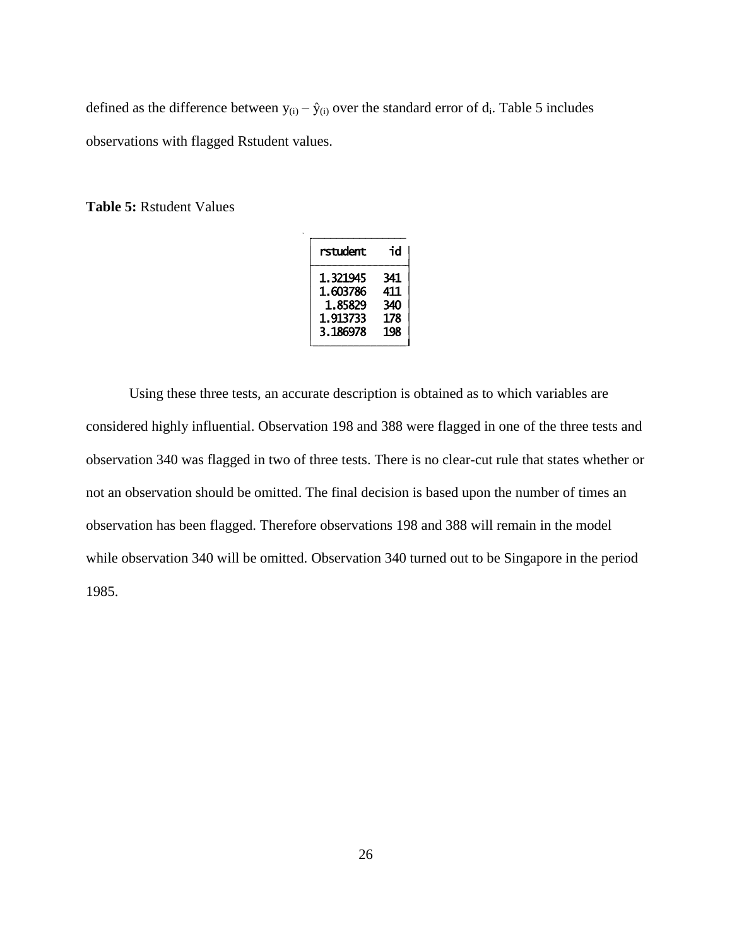defined as the difference between  $y_{(i)} - \hat{y}_{(i)}$  over the standard error of  $d_i$ . Table 5 includes observations with flagged Rstudent values.

**Table 5:** Rstudent Values

| rstudent | id  |
|----------|-----|
| 1.321945 | 341 |
| 1.603786 | 411 |
| 1.85829  | 340 |
| 1.913733 | 178 |
| 3.186978 | 198 |

Using these three tests, an accurate description is obtained as to which variables are considered highly influential. Observation 198 and 388 were flagged in one of the three tests and observation 340 was flagged in two of three tests. There is no clear-cut rule that states whether or not an observation should be omitted. The final decision is based upon the number of times an observation has been flagged. Therefore observations 198 and 388 will remain in the model while observation 340 will be omitted. Observation 340 turned out to be Singapore in the period 1985.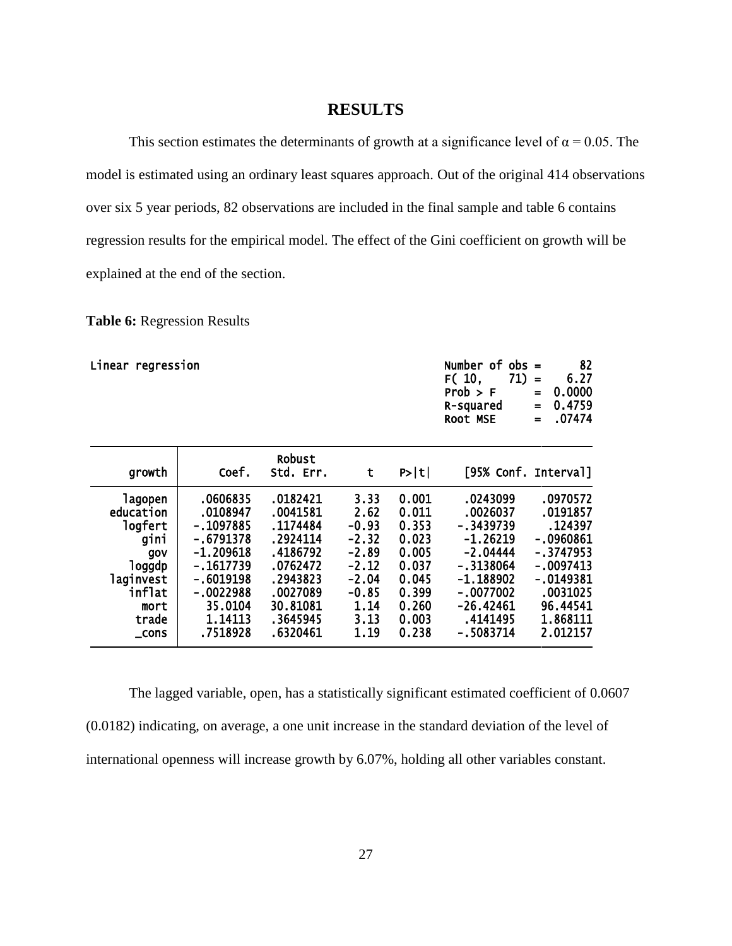#### **RESULTS**

This section estimates the determinants of growth at a significance level of  $\alpha = 0.05$ . The model is estimated using an ordinary least squares approach. Out of the original 414 observations over six 5 year periods, 82 observations are included in the final sample and table 6 contains regression results for the empirical model. The effect of the Gini coefficient on growth will be explained at the end of the section.

**Table 6:** Regression Results

| Linear regression |             |                     |         |       | Number of<br>$obs =$<br>F(10,<br>71)<br>Prob > F<br>R-squared<br>ROOT MSE | 82<br>6.27<br>$\equiv$<br>0.0000<br>$=$<br>0.4759<br>$\equiv$<br>.07474<br>$=$ |
|-------------------|-------------|---------------------|---------|-------|---------------------------------------------------------------------------|--------------------------------------------------------------------------------|
| growth            | Coef.       | Robust<br>Std. Err. | t       | P> t  | [95% Conf. Interval]                                                      |                                                                                |
| lagopen           | .0606835    | .0182421            | 3.33    | 0.001 | .0243099                                                                  | .0970572                                                                       |
| education         | .0108947    | .0041581            | 2.62    | 0.011 | .0026037                                                                  | .0191857                                                                       |
| logfert           | -.1097885   | .1174484            | $-0.93$ | 0.353 | -.3439739                                                                 | .124397                                                                        |
| gini              | -.6791378   | .2924114            | $-2.32$ | 0.023 | $-1.26219$                                                                | $-.0960861$                                                                    |
| gov               | $-1.209618$ | .4186792            | $-2.89$ | 0.005 | $-2.04444$                                                                | - .3747953                                                                     |
| loggdp            | -.1617739   | .0762472            | $-2.12$ | 0.037 | -.3138064                                                                 | -.0097413                                                                      |
| laginvest         | -.6019198   | .2943823            | $-2.04$ | 0.045 | -1.188902                                                                 | -.0149381                                                                      |
| inflat            | $-.0022988$ | .0027089            | $-0.85$ | 0.399 | $-.0077002$                                                               | .0031025                                                                       |
| mort              | 35.0104     | 30.81081            | 1.14    | 0.260 | $-26.42461$                                                               | 96.44541                                                                       |
| trade             | 1.14113     | .3645945            | 3.13    | 0.003 | .4141495                                                                  | 1.868111                                                                       |
| $\_cons$          | .7518928    | .6320461            | 1.19    | 0.238 | -.5083714                                                                 | 2.012157                                                                       |

The lagged variable, open, has a statistically significant estimated coefficient of 0.0607 (0.0182) indicating, on average, a one unit increase in the standard deviation of the level of international openness will increase growth by 6.07%, holding all other variables constant.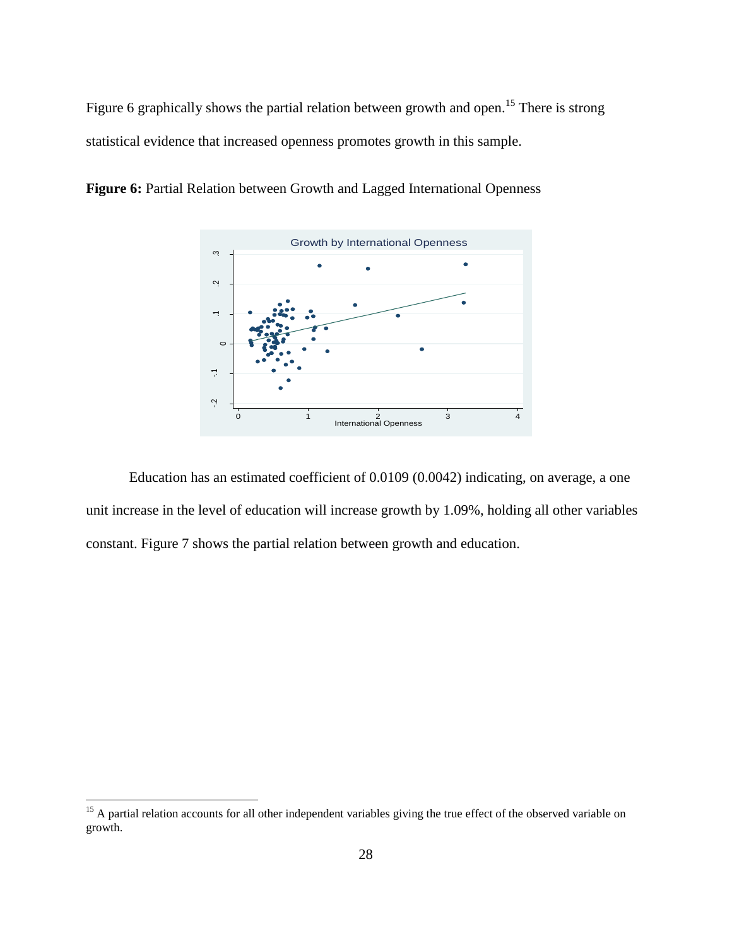Figure 6 graphically shows the partial relation between growth and open.<sup>15</sup> There is strong statistical evidence that increased openness promotes growth in this sample.



**Figure 6:** Partial Relation between Growth and Lagged International Openness

Education has an estimated coefficient of 0.0109 (0.0042) indicating, on average, a one unit increase in the level of education will increase growth by 1.09%, holding all other variables constant. Figure 7 shows the partial relation between growth and education.

<sup>&</sup>lt;sup>15</sup> A partial relation accounts for all other independent variables giving the true effect of the observed variable on growth.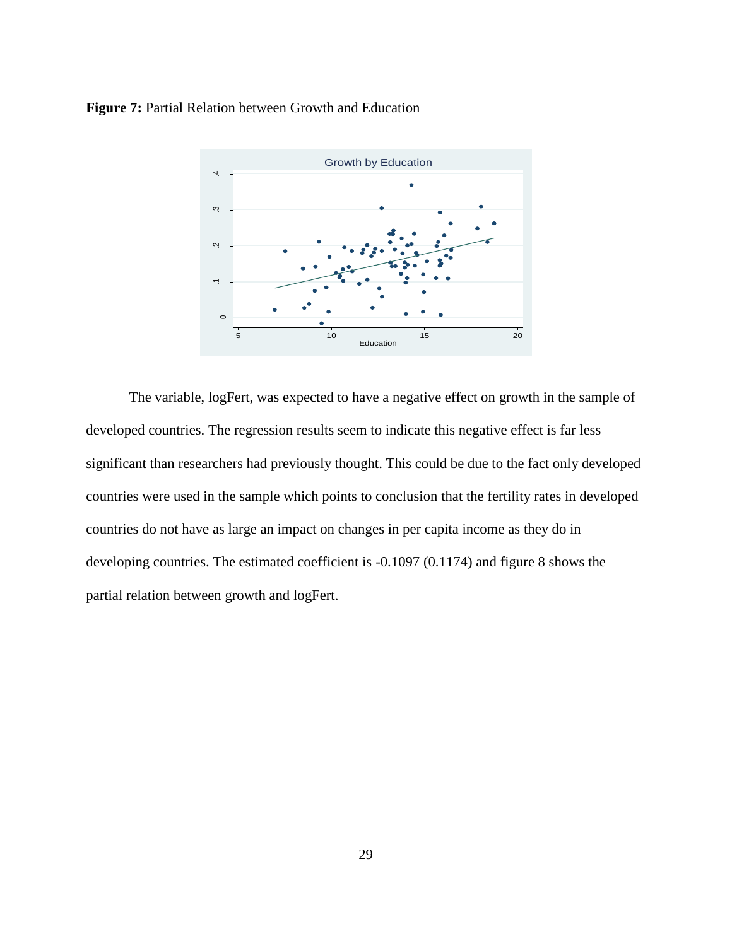**Figure 7:** Partial Relation between Growth and Education



The variable, logFert, was expected to have a negative effect on growth in the sample of developed countries. The regression results seem to indicate this negative effect is far less significant than researchers had previously thought. This could be due to the fact only developed countries were used in the sample which points to conclusion that the fertility rates in developed countries do not have as large an impact on changes in per capita income as they do in developing countries. The estimated coefficient is -0.1097 (0.1174) and figure 8 shows the partial relation between growth and logFert.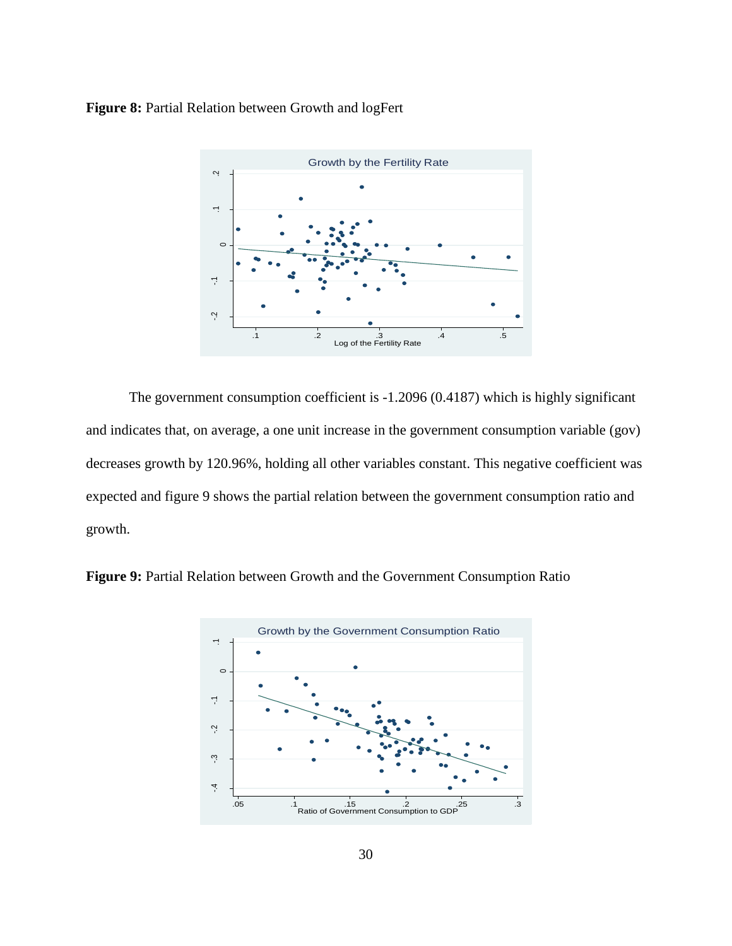#### Figure 8: Partial Relation between Growth and logFert



The government consumption coefficient is -1.2096 (0.4187) which is highly significant and indicates that, on average, a one unit increase in the government consumption variable (gov) decreases growth by 120.96%, holding all other variables constant. This negative coefficient was expected and figure 9 shows the partial relation between the government consumption ratio and growth.



**Figure 9:** Partial Relation between Growth and the Government Consumption Ratio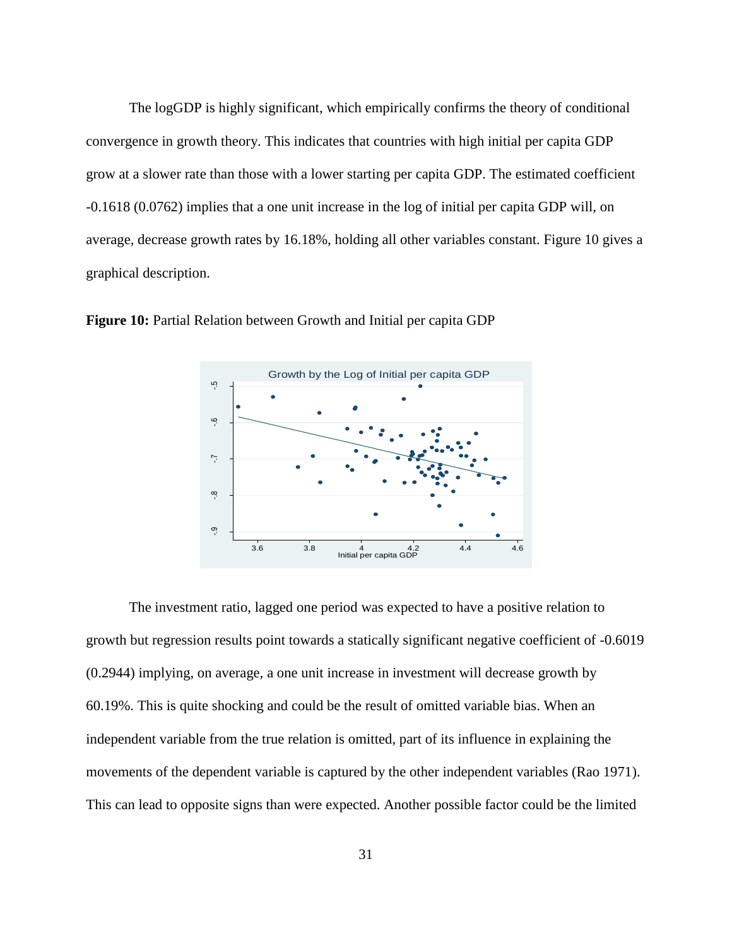The logGDP is highly significant, which empirically confirms the theory of conditional convergence in growth theory. This indicates that countries with high initial per capita GDP grow at a slower rate than those with a lower starting per capita GDP. The estimated coefficient -0.1618 (0.0762) implies that a one unit increase in the log of initial per capita GDP will, on average, decrease growth rates by 16.18%, holding all other variables constant. Figure 10 gives a graphical description.



**Figure 10:** Partial Relation between Growth and Initial per capita GDP

The investment ratio, lagged one period was expected to have a positive relation to growth but regression results point towards a statically significant negative coefficient of -0.6019 (0.2944) implying, on average, a one unit increase in investment will decrease growth by 60.19%. This is quite shocking and could be the result of omitted variable bias. When an independent variable from the true relation is omitted, part of its influence in explaining the movements of the dependent variable is captured by the other independent variables (Rao 1971). This can lead to opposite signs than were expected. Another possible factor could be the limited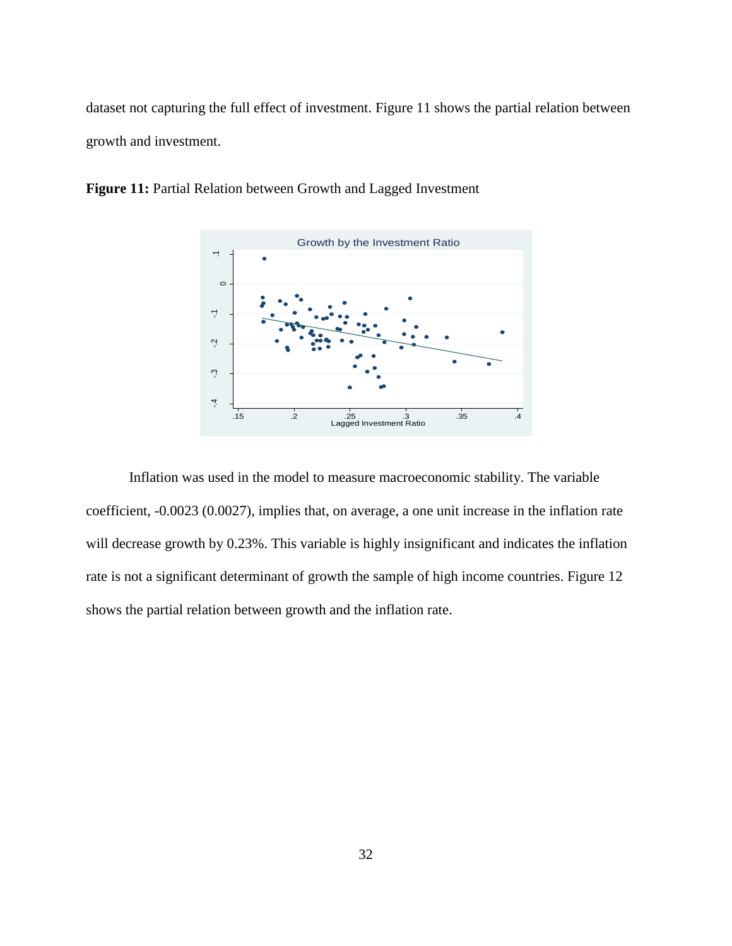dataset not capturing the full effect of investment. Figure 11 shows the partial relation between growth and investment.



**Figure 11:** Partial Relation between Growth and Lagged Investment

Inflation was used in the model to measure macroeconomic stability. The variable coefficient, -0.0023 (0.0027), implies that, on average, a one unit increase in the inflation rate will decrease growth by 0.23%. This variable is highly insignificant and indicates the inflation rate is not a significant determinant of growth the sample of high income countries. Figure 12 shows the partial relation between growth and the inflation rate.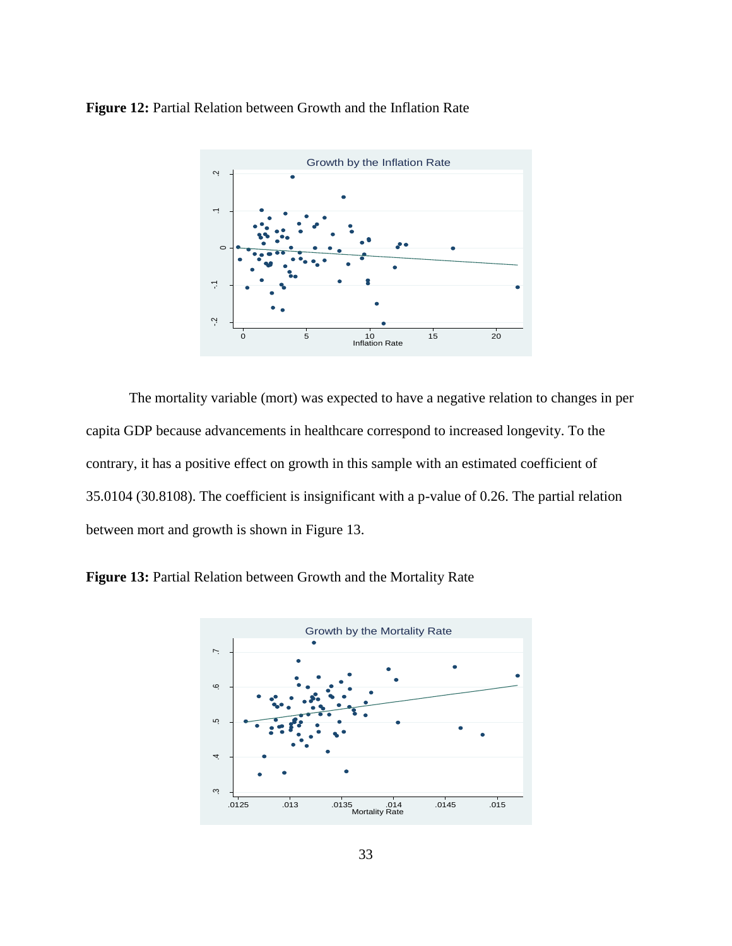**Figure 12:** Partial Relation between Growth and the Inflation Rate



The mortality variable (mort) was expected to have a negative relation to changes in per capita GDP because advancements in healthcare correspond to increased longevity. To the contrary, it has a positive effect on growth in this sample with an estimated coefficient of 35.0104 (30.8108). The coefficient is insignificant with a p-value of 0.26. The partial relation between mort and growth is shown in Figure 13.



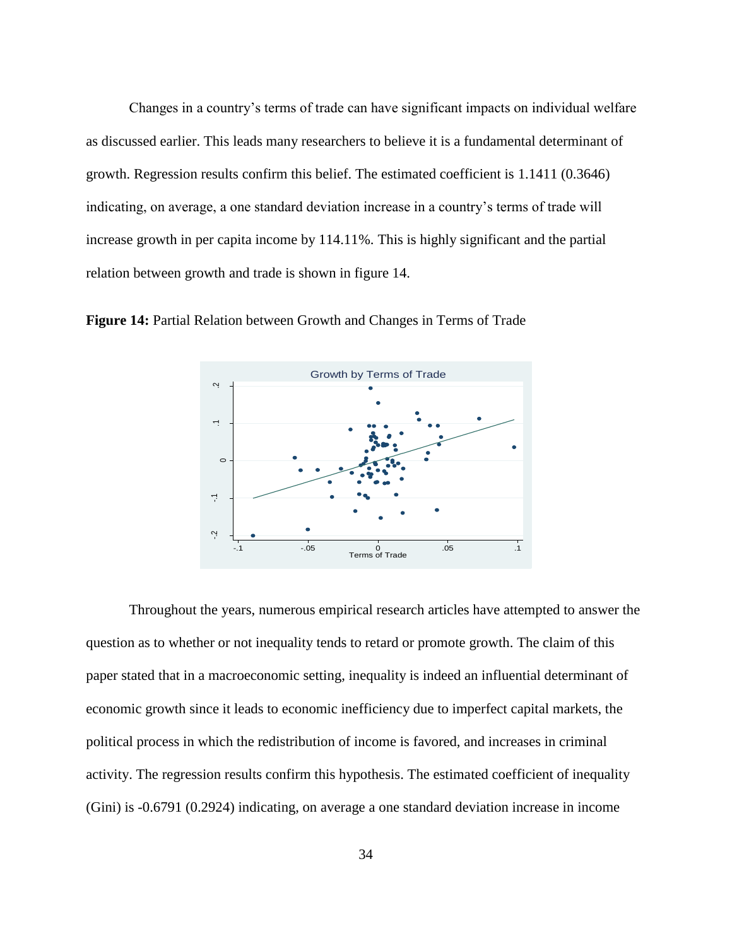Changes in a country's terms of trade can have significant impacts on individual welfare as discussed earlier. This leads many researchers to believe it is a fundamental determinant of growth. Regression results confirm this belief. The estimated coefficient is 1.1411 (0.3646) indicating, on average, a one standard deviation increase in a country's terms of trade will increase growth in per capita income by 114.11%. This is highly significant and the partial relation between growth and trade is shown in figure 14.



**Figure 14:** Partial Relation between Growth and Changes in Terms of Trade

Throughout the years, numerous empirical research articles have attempted to answer the question as to whether or not inequality tends to retard or promote growth. The claim of this paper stated that in a macroeconomic setting, inequality is indeed an influential determinant of economic growth since it leads to economic inefficiency due to imperfect capital markets, the political process in which the redistribution of income is favored, and increases in criminal activity. The regression results confirm this hypothesis. The estimated coefficient of inequality (Gini) is -0.6791 (0.2924) indicating, on average a one standard deviation increase in income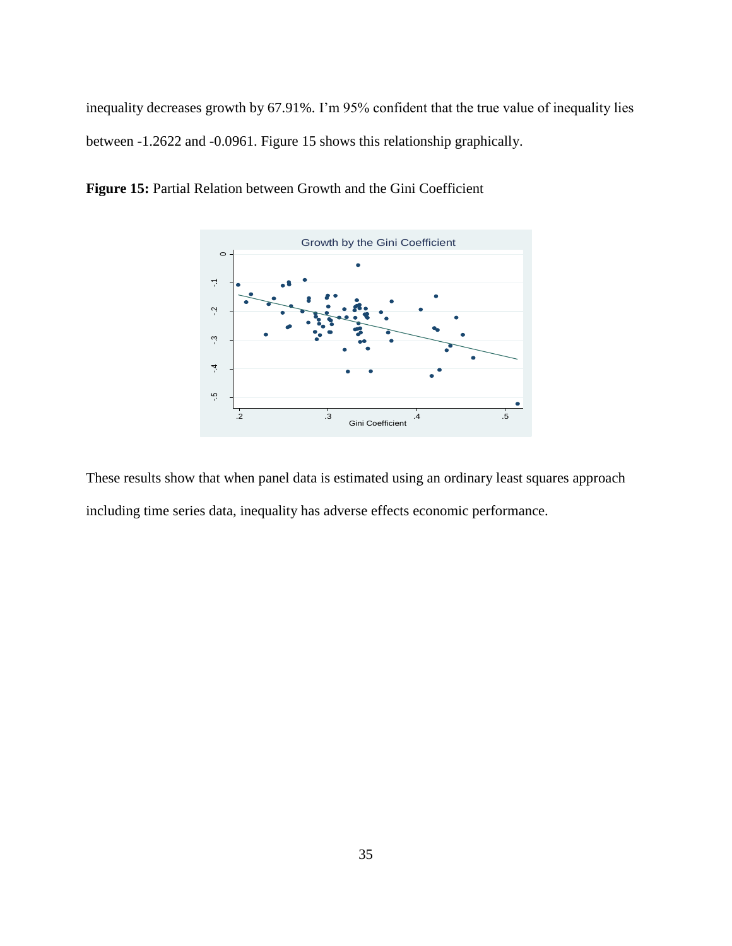inequality decreases growth by 67.91%. I'm 95% confident that the true value of inequality lies between -1.2622 and -0.0961. Figure 15 shows this relationship graphically.



**Figure 15:** Partial Relation between Growth and the Gini Coefficient

These results show that when panel data is estimated using an ordinary least squares approach including time series data, inequality has adverse effects economic performance.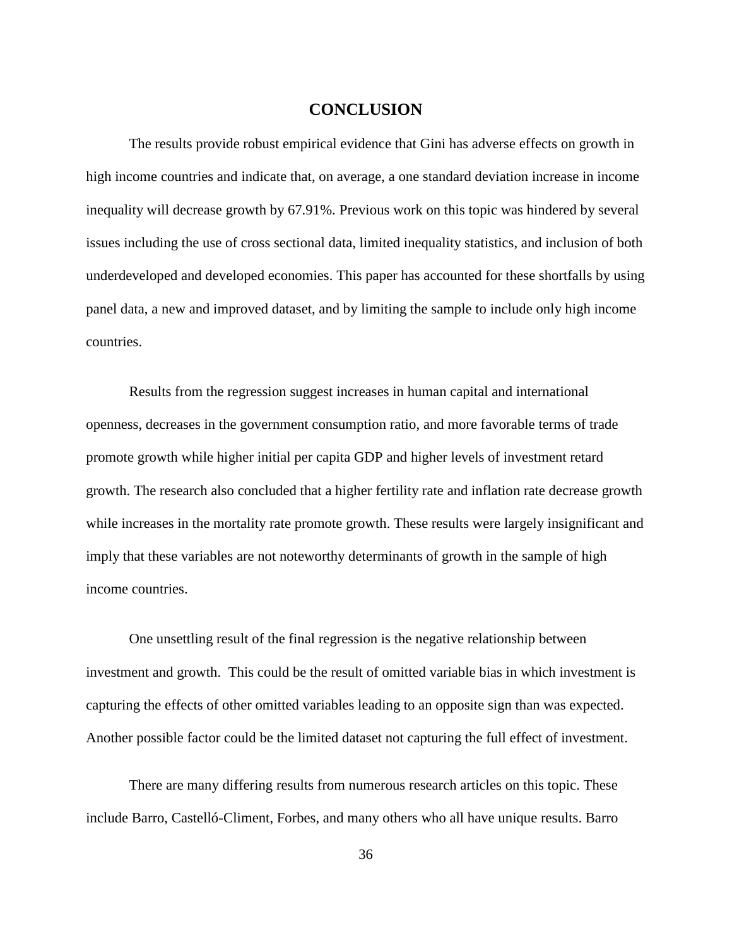#### **CONCLUSION**

The results provide robust empirical evidence that Gini has adverse effects on growth in high income countries and indicate that, on average, a one standard deviation increase in income inequality will decrease growth by 67.91%. Previous work on this topic was hindered by several issues including the use of cross sectional data, limited inequality statistics, and inclusion of both underdeveloped and developed economies. This paper has accounted for these shortfalls by using panel data, a new and improved dataset, and by limiting the sample to include only high income countries.

Results from the regression suggest increases in human capital and international openness, decreases in the government consumption ratio, and more favorable terms of trade promote growth while higher initial per capita GDP and higher levels of investment retard growth. The research also concluded that a higher fertility rate and inflation rate decrease growth while increases in the mortality rate promote growth. These results were largely insignificant and imply that these variables are not noteworthy determinants of growth in the sample of high income countries.

One unsettling result of the final regression is the negative relationship between investment and growth. This could be the result of omitted variable bias in which investment is capturing the effects of other omitted variables leading to an opposite sign than was expected. Another possible factor could be the limited dataset not capturing the full effect of investment.

There are many differing results from numerous research articles on this topic. These include Barro, Castelló-Climent, Forbes, and many others who all have unique results. Barro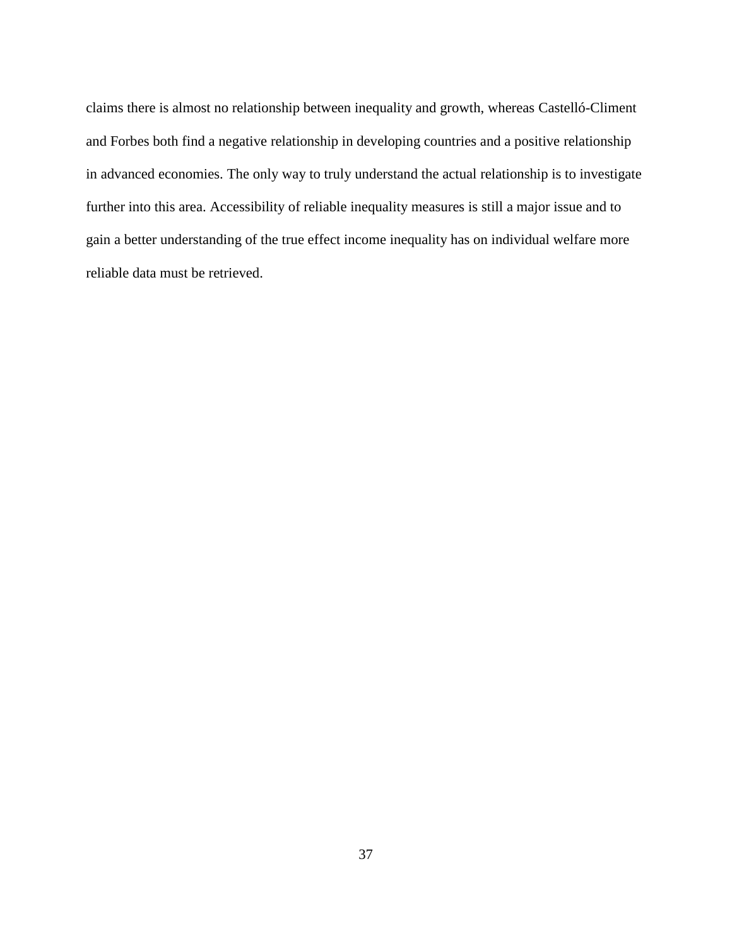claims there is almost no relationship between inequality and growth, whereas Castelló-Climent and Forbes both find a negative relationship in developing countries and a positive relationship in advanced economies. The only way to truly understand the actual relationship is to investigate further into this area. Accessibility of reliable inequality measures is still a major issue and to gain a better understanding of the true effect income inequality has on individual welfare more reliable data must be retrieved.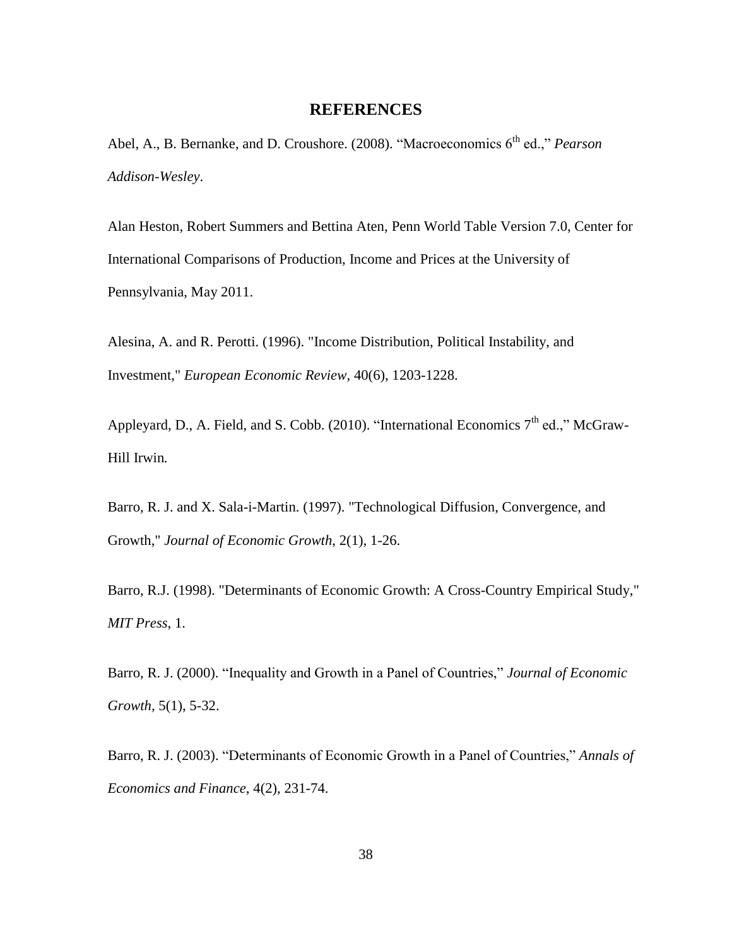#### **REFERENCES**

Abel, A., B. Bernanke, and D. Croushore. (2008). "Macroeconomics 6<sup>th</sup> ed.," *Pearson Addison-Wesley*.

Alan Heston, Robert Summers and Bettina Aten, Penn World Table Version 7.0, Center for International Comparisons of Production, Income and Prices at the University of Pennsylvania, May 2011.

Alesina, A. and R. Perotti. (1996). ["Income Distribution, Political Instability, and](http://ideas.repec.org/a/eee/eecrev/v40y1996i6p1203-1228.html)  [Investment,](http://ideas.repec.org/a/eee/eecrev/v40y1996i6p1203-1228.html)" *[European Economic Review](http://ideas.repec.org/s/eee/eecrev.html)*, 40(6), 1203-1228.

Appleyard, D., A. Field, and S. Cobb. (2010). "International Economics  $7<sup>th</sup>$  ed.," McGraw-Hill Irwin*.*

Barro, R. J. and X. Sala-i-Martin. (1997). ["Technological Diffusion, Convergence, and](http://ideas.repec.org/a/kap/jecgro/v2y1997i1p1-26.html)  [Growth,](http://ideas.repec.org/a/kap/jecgro/v2y1997i1p1-26.html)" *[Journal of Economic Growth](http://ideas.repec.org/s/kap/jecgro.html)*, 2(1), 1-26.

Barro, R.J. (1998). ["Determinants of Economic Growth: A Cross-Country Empirical Study,](http://ideas.repec.org/b/mtp/titles/0262522543.html)" *MIT Press*, 1.

Barro, R. J. (2000). "Inequality and Growth in a Panel of Countries," *Journal of Economic Growth,* 5(1), 5-32.

Barro, R. J. (2003). "Determinants of Economic Growth in a Panel of Countries," *Annals of Economics and Finance*, 4(2), 231-74.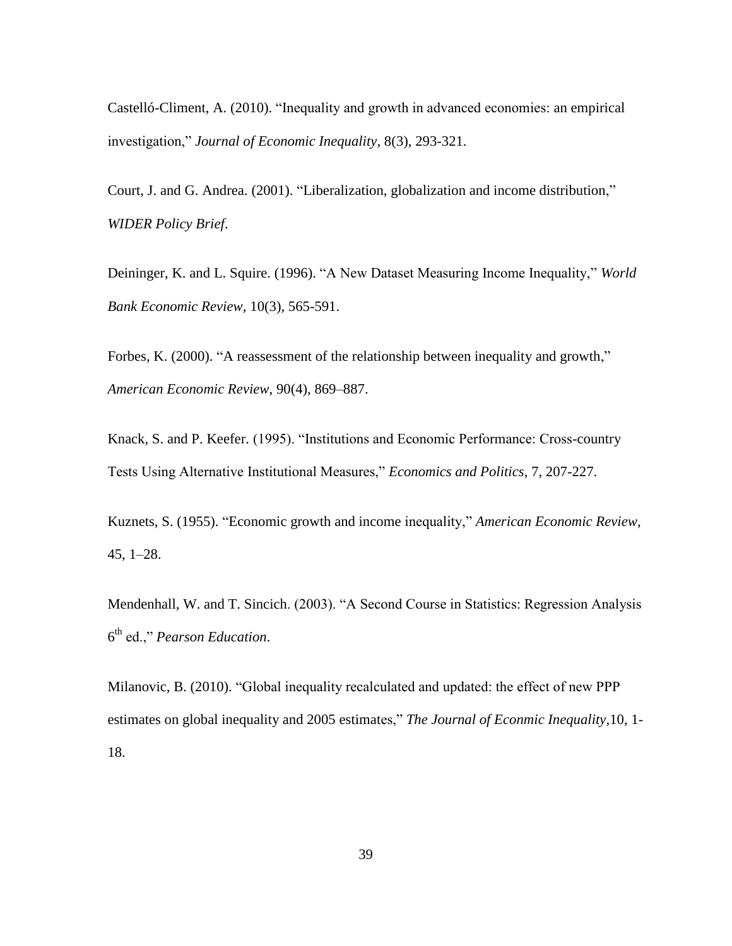Castelló-Climent, A. (2010). "Inequality and growth in advanced economies: an empirical investigation," *Journal of Economic Inequality,* 8(3), 293-321.

Court, J. and G. Andrea. (2001). "Liberalization, globalization and income distribution," *WIDER Policy Brief*.

Deininger, K. and L. Squire. (1996). "A New Dataset Measuring Income Inequality," *World Bank Economic Review*, 10(3), 565-591.

Forbes, K. (2000). "A reassessment of the relationship between inequality and growth," *American Economic Review*, 90(4), 869–887.

Knack, S. and P. Keefer. (1995). "Institutions and Economic Performance: Cross-country Tests Using Alternative Institutional Measures," *Economics and Politics*, 7, 207-227.

Kuznets, S. (1955). "Economic growth and income inequality," *American Economic Review,* 45, 1–28.

Mendenhall, W. and T. Sincich. (2003). "A Second Course in Statistics: Regression Analysis 6 th ed.," *Pearson Education*.

Milanovic, B. (2010). "Global inequality recalculated and updated: the effect of new PPP estimates on global inequality and 2005 estimates," *The Journal of Econmic Inequality,*10, 1- 18.